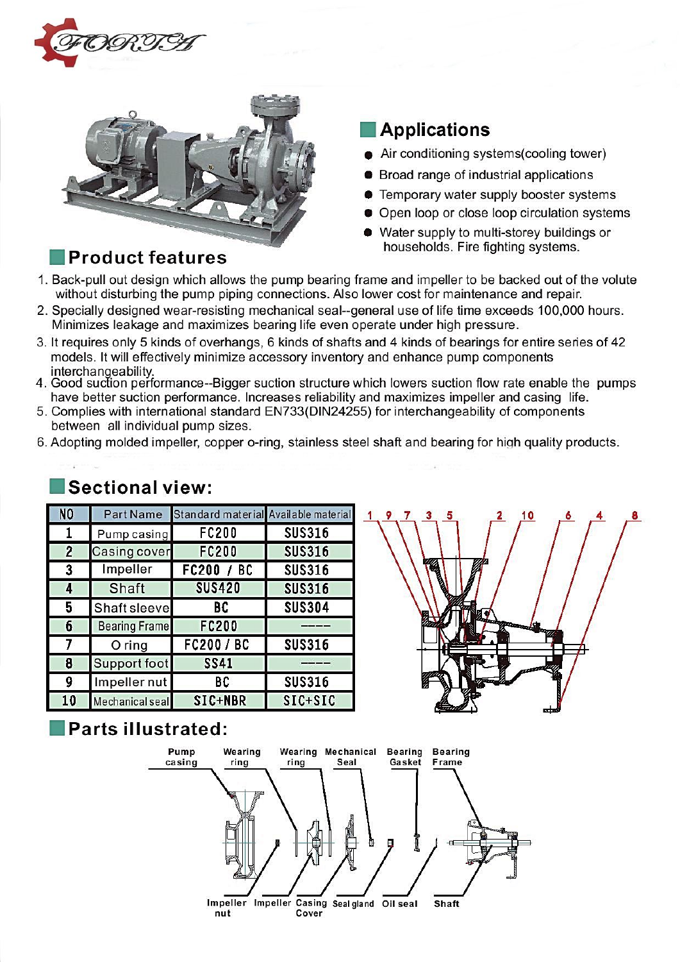



## **Product features**

### **Applications**

- Air conditioning systems(cooling tower)
- **•** Broad range of industrial applications
- Temporary water supply booster systems
- Open loop or close loop circulation systems
- Water supply to multi-storey buildings or households. Fire fighting systems.
- 1. Back-pull out design which allows the pump bearing frame and impeller to be backed out of the volute without disturbing the pump piping connections. Also lower cost for maintenance and repair.
- 2. Specially designed wear-resisting mechanical seal--general use of life time exceeds 100,000 hours. Minimizes leakage and maximizes bearing life even operate under high pressure.
- 3. It requires only 5 kinds of overhangs, 6 kinds of shafts and 4 kinds of bearings for entire series of 42 models. It will effectively minimize accessory inventory and enhance pump components
- interchangeability.<br>4. Good suction performance--Bigger suction structure which lowers suction flow rate enable the pumps have better suction performance. Increases reliability and maximizes impeller and casing life.
- 5. Complies with international standard EN733(DIN24255) for interchangeability of components between all individual pump sizes.
- 6. Adopting molded impeller, copper o-ring, stainless steel shaft and bearing for high quality products.

## **Sectional view:**

| N <sub>O</sub> |                      | Part Name Standard material Available material |               |
|----------------|----------------------|------------------------------------------------|---------------|
|                | Pump casing          | <b>FC200</b>                                   | <b>SUS316</b> |
| $\overline{2}$ | <b>Casing cover</b>  | <b>FC200</b>                                   | <b>SUS316</b> |
| 3              | Impeller             | FC200 / BC                                     | <b>SUS316</b> |
| 4              | Shaft                | <b>SUS420</b>                                  | <b>SUS316</b> |
| 5              | Shaft sleeve         | BC                                             | <b>SUS304</b> |
| 6              | <b>Bearing Frame</b> | FC200                                          |               |
| 7              | $O$ ring             | FC200 / BC                                     | <b>SUS316</b> |
| 8              | Support foot         | <b>SS41</b>                                    |               |
| 9              | Impeller nut         | BC                                             | <b>SUS316</b> |
| 10             | Mechanical seal      | SIC+NBR                                        | $SIC+SIC$     |



## Parts illustrated:

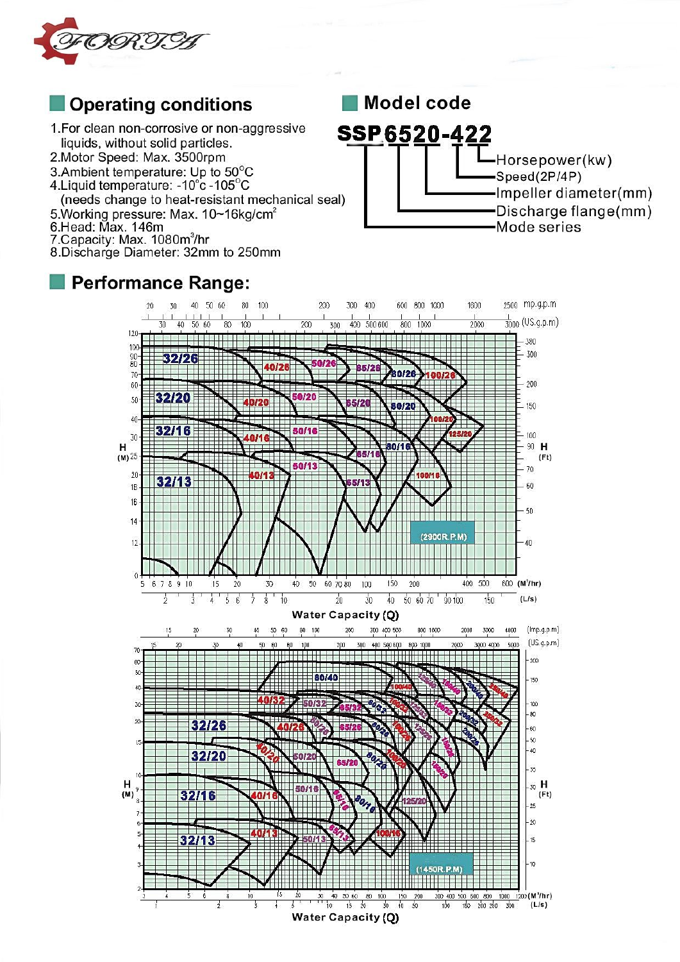

# **Operating conditions**

- 1. For clean non-corrosive or non-aggressive liquids, without solid particles.
- 2. Motor Speed: Max. 3500rpm
- 3. Ambient temperature: Up to 50°C
- 4. Liquid temperature: 10°c 105°C
- (needs change to heat-resistant mechanical seal)
- 5. Working pressure: Max. 10~16kg/cm<sup>2</sup>
- 6. Head: Max. 146m
- 7. Capacity: Max. 1080m<sup>3</sup>/hr
- 8. Discharge Diameter: 32mm to 250mm

### **Performance Range:**



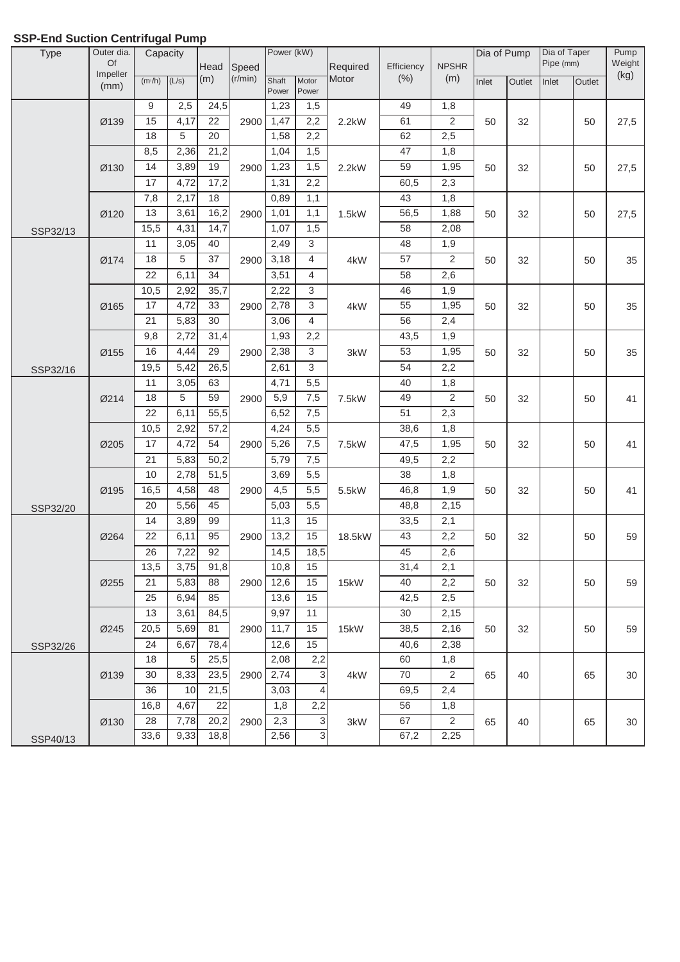| Type     | Outer dia.<br>Of | Capacity |       |                 |         | Power (kW)     |                |          |            |                  | Dia of Pump |        | Dia of Taper<br>Pipe (mm) |        | Pump           |
|----------|------------------|----------|-------|-----------------|---------|----------------|----------------|----------|------------|------------------|-------------|--------|---------------------------|--------|----------------|
|          | Impeller         |          |       | Head            | Speed   |                |                | Required | Efficiency | <b>NPSHR</b>     |             |        |                           |        | Weight<br>(kg) |
|          | (mm)             | (m/h)    | (L/s) | (m)             | (r/min) | Shaft<br>Power | Motor<br>Power | Motor    | (% )       | (m)              | Inlet       | Outlet | Inlet                     | Outlet |                |
|          |                  | 9        | 2,5   | 24,5            |         | 1,23           | 1,5            |          | 49         | 1,8              |             |        |                           |        |                |
|          | Ø139             | 15       | 4,17  | $\overline{22}$ | 2900    | 1,47           | 2,2            | 2.2kW    | 61         | $\overline{2}$   | 50          | 32     |                           | 50     | 27,5           |
|          |                  | 18       | 5     | 20              |         | 1,58           | 2,2            |          | 62         | 2,5              |             |        |                           |        |                |
|          |                  | 8,5      | 2,36  | 21,2            |         | 1,04           | 1,5            |          | 47         | 1,8              |             |        |                           |        |                |
|          | Ø130             | 14       | 3,89  | 19              | 2900    | 1,23           | 1,5            | 2.2kW    | 59         | 1,95             | 50          | 32     |                           | 50     | 27,5           |
|          |                  | 17       | 4,72  | 17,2            |         | 1,31           | 2,2            |          | 60,5       | $\overline{2,3}$ |             |        |                           |        |                |
|          |                  | 7,8      | 2,17  | 18              |         | 0,89           | 1,1            |          | 43         | 1,8              |             |        |                           |        |                |
|          | Ø120             | 13       | 3,61  | 16,2            | 2900    | 1,01           | 1,1            | 1.5kW    | 56,5       | 1,88             | 50          | 32     |                           | 50     | 27,5           |
| SSP32/13 |                  | 15,5     | 4,31  | 14,7            |         | 1,07           | 1,5            |          | 58         | 2,08             |             |        |                           |        |                |
|          |                  | 11       | 3,05  | 40              |         | 2,49           | $\overline{3}$ |          | 48         | 1,9              |             |        |                           |        |                |
|          | Ø174             | 18       | 5     | 37              | 2900    | 3,18           | $\overline{4}$ | 4kW      | 57         | $\overline{2}$   | 50          | 32     |                           | 50     | 35             |
|          |                  | 22       | 6,11  | 34              |         | 3,51           | $\overline{4}$ |          | 58         | 2,6              |             |        |                           |        |                |
|          |                  | 10,5     | 2,92  | 35,7            |         | 2,22           | 3              |          | 46         | 1,9              |             |        |                           |        |                |
|          | Ø165             | 17       | 4,72  | 33              | 2900    | 2,78           | 3              | 4kW      | 55         | 1,95             | 50          | 32     |                           | 50     | 35             |
|          |                  | 21       | 5,83  | 30              |         | 3,06           | $\overline{4}$ |          | 56         | 2,4              |             |        |                           |        |                |
|          |                  | 9,8      | 2,72  | 31,4            |         | 1,93           | 2,2            |          | 43,5       | 1,9              |             |        |                           |        |                |
|          | Ø155             | 16       | 4,44  | 29              | 2900    | 2,38           | 3              | 3kW      | 53         | 1,95             | 50          | 32     |                           | 50     | 35             |
| SSP32/16 |                  | 19,5     | 5,42  | 26,5            |         | 2,61           | $\overline{3}$ |          | 54         | 2,2              |             |        |                           |        |                |
|          |                  | 11       | 3,05  | 63              |         | 4,71           | 5,5            |          | 40         | 1,8              |             |        |                           |        |                |
|          | Ø214             | 18       | 5     | 59              | 2900    | 5,9            | 7,5            | 7.5kW    | 49         | $\overline{c}$   | 50          | 32     |                           | 50     | 41             |
|          |                  | 22       | 6,11  | 55,5            |         | 6,52           | 7,5            |          | 51         | 2,3              |             |        |                           |        |                |
|          |                  | 10,5     | 2,92  | 57,2            |         | 4,24           | 5,5            |          | 38,6       | 1,8              |             |        |                           |        |                |
|          | Ø205             | 17       | 4,72  | 54              | 2900    | 5,26           | 7,5            | 7.5kW    | 47,5       | 1,95             | 50          | 32     |                           | 50     | 41             |
|          |                  | 21       | 5,83  | 50,2            |         | 5,79           | 7,5            |          | 49,5       | 2,2              |             |        |                           |        |                |
|          |                  | 10       | 2,78  | 51,5            |         | 3,69           | 5,5            |          | 38         | 1,8              |             |        |                           |        |                |
|          | Ø195             | 16,5     | 4,58  | 48              | 2900    | 4,5            | 5,5            | 5.5kW    | 46,8       | 1,9              | 50          | 32     |                           | 50     | 41             |
| SSP32/20 |                  | 20       | 5,56  | 45              |         | 5,03           | 5,5            |          | 48,8       | 2,15             |             |        |                           |        |                |
|          |                  | 14       | 3,89  | 99              |         | 11,3           | 15             |          | 33,5       | 2,1              |             |        |                           |        |                |
|          | Ø264             | 22       | 6,11  | $\overline{95}$ | 2900    | 13,2           | 15             | 18.5kW   | 43         | 2,2              | 50          | 32     |                           | 50     | 59             |
|          |                  | 26       | 7,22  | 92              |         | 14,5           | 18,5           |          | 45         | 2,6              |             |        |                           |        |                |
|          |                  | 13,5     | 3,75  | 91,8            |         | 10,8           | 15             |          | 31,4       | 2,1              |             |        |                           |        |                |
|          | Ø255             | 21       | 5,83  | 88              | 2900    | 12,6           | 15             | 15kW     | 40         | 2,2              | 50          | 32     |                           | 50     | 59             |
|          |                  | 25       | 6,94  | 85              |         | 13,6           | 15             |          | 42,5       | 2,5              |             |        |                           |        |                |
|          |                  | 13       | 3,61  | 84,5            |         | 9,97           | 11             |          | 30         | 2,15             |             |        |                           |        |                |
|          | Ø245             | 20,5     | 5,69  | 81              | 2900    | 11,7           | 15             | 15kW     | 38,5       | 2,16             | 50          | 32     |                           | 50     | 59             |
| SSP32/26 |                  | 24       | 6,67  | 78,4            |         | 12,6           | 15             |          | 40,6       | 2,38             |             |        |                           |        |                |
|          |                  | 18       | 5     | 25,5            |         | 2,08           | 2,2            |          | 60         | 1,8              |             |        |                           |        |                |
|          | Ø139             | 30       | 8,33  | 23,5            | 2900    | 2,74           | 3              | 4kW      | 70         | 2                | 65          | 40     |                           | 65     | 30             |
|          |                  | 36       | 10    | 21,5            |         | 3,03           | 4              |          | 69,5       | 2,4              |             |        |                           |        |                |
|          |                  | 16,8     | 4,67  | 22              |         | 1,8            | 2,2            |          | 56         | 1,8              |             |        |                           |        |                |
|          | Ø130             | 28       | 7,78  | 20,2            | 2900    | 2,3            | 3              | 3kW      | 67         | $\overline{2}$   | 65          | 40     |                           | 65     | 30             |
| SSP40/13 |                  | 33,6     | 9,33  | 18,8            |         | 2,56           | 3              |          | 67,2       | 2,25             |             |        |                           |        |                |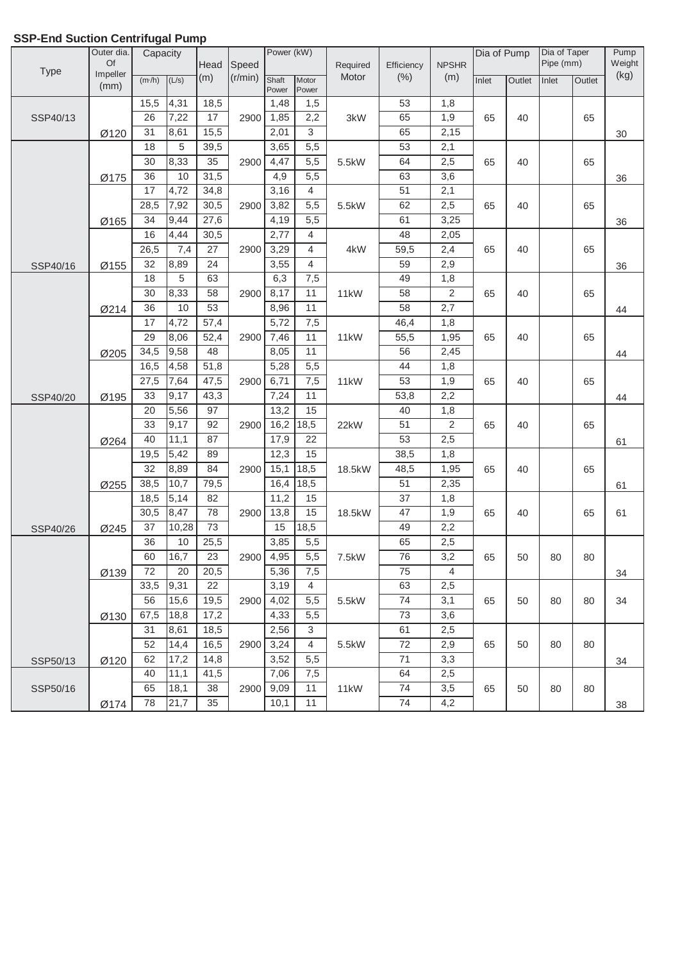#### $\frac{m^2}{h}$  (L/s)  $\frac{m}{h}$  (m)  $\frac{m^2}{h}$  (r/min)  $\frac{m^2}{h}$ Power **Motor** Power Inlet Outlet Inlet Outlet 15,5 18,5 1,48 1,5 53 1,8 26 |7,22 | 17 | 2900| 1,85 | 2,2 | 3kW | 65 | 1,9 31 |8,61 | 15,5 | | 2,01 | 3 | | 65 | 2,15 18 | 5 | 39,5 | 3,65 | 5,5 | 53 | 2,1 30 |8,33 | 35 | 2900|4,47 | 5,5 | 5.5kW | 64 | 2,5 36 | 10 | 31,5 | | 4,9 | 5,5 | | | | | 63 | 3,6 17 4,72 34,8 3,16 4 51 51 2,1 28,5 7,92 30,5 2900 3,82 5,5 5.5kW 62 3,5 34 27,6 4,19 5,5 61 3,25 16 4,44 30,5 2,77 4 4 48 2,05 26,5 | 7,4 | 27 | 2900 | 3,29 | 4 | 4kW | 59,5 | 2,4 32 24 3,55 4 59 2,9 18 | 5 | 63 | 6,3 | 7,5 | 49 | 1,8 30 |8,33 | 58 | 2900 |8,17 | 11 | 11kW | 58 | 2 36 | 10 | 53 | | 8,96 | 11 | | | | 58 | 2,7 17 46,4 57,4 5,72 7,5 46,4 1,8 29 |8,06 | 52,4 | 2900 | 7,46 | 11 | 11kW | 55,5 | 1,95 34,5 |9,58 | 48 | 8,05 | 11 | 56 | 2,45 16,5 4,58 51,8 5,28 5,5 44 1,8 27,5 |7,64 | 47,5 | 2900 | 6,71 | 7,5 | 11kW | 53 | 1,9 33 |9,17 | 43,3 | | | | 7,24 | 11 | | | | | | 53,8 | | 2,2 20 97 13,2 15 40 1,8 33 |9,17 | 92 | 2900 | 16,2 |18,5 | 22kW | 51 | 2 40 |11,1 | 87 | | 17,9 | 22 | | | | | 53 | 2,5 19,5 | 5,42 | 89 | | 12,3 | 15 | | | | | | | | 38,5 | 1,8 32 8,89 84 2900 15,1 18,5 18.5kW 48,5 1,95 38,5 10,7 | 79,5 | 16,4 | 18,5 | 18,5 | 51 | 2,35 18,5 82 11,2 15 37 1,8 30,5 8,47 78 2900 13,8 15 18.5kW 47 1,9 37 73 15 18,5 49 2,2 36 25,5 3,85 5,5 65 2,5 60 | 16,7 | 23 | 2900 | 4,95 | 5,5 | 7.5kW | 76 | 3,2 72 20,5 5,36 7,5 75 4 33,5 |9,31 | 22 | | | | 3,19 | 4 | | | | | | | 63 | | 2,5 56 |15,6 | 19,5 | 2900 | 4,02 | 5,5 | 5.5kW | 74 | 3,1 67,5 17,2 4,33 5,5 73 3,6 31 18,5 2,56 3 61 2,5 52 |14,4 | 16,5 | 2900 | 3,24 | 4 | 5.5kW | 72 | 2,9 62 | 17,2 | 14,8 | | 3,52 | 5,5 | | | | 3,3 40 41,5 7,06 7,5 64 2,5 65 |18,1 | 38 | 2900 | 9,09 | 11 | 11kW | 74 | 3,5 Pump Weight  $\frac{L(s)}{L(s)}$  (m)  $\frac{1}{s}$  (r/min)  $\frac{1}{s}$  shaft Motor Motor | (%) | (m)  $\frac{1}{s}$  | Inlet | Outlet | Inlet | Outlet | (kg) SSP40/13 Ø120 4,31 2900 1,85 | 2,2 | 3kW | 65 | 1,9 | 65 | 40 | | 65 30 7,22 8,61 Type Outer dia. Of Impeller (mm) **Capacity Head** (m) Speed (r/min) Power (kW) Required Motor SSP40/16 Ø175 5 2900 4,47 5,5 5.5kW 64 2,5 65 40 NPSHR (m) Dia of Pump Dia of Taper Pipe (mm) Ø155 4,44 2900 3,29 | 4 | 4kW | 59,5 | 2,4 | 65 | 40 | | 65 **Efficiency** (%) 36 8,33 10 Ø165 4,72 2900 3,82 5,5 5.5kW 62 4.5 65 40 5 36 7,92 9,44 65 36 7,4 8,89 SSP40/20 Ø214 5 2900 | 8,17 | 11 | 11kW | 58 | 2 | 65 | 40 | | 65 44 8,33 10 Ø205 4,72 2900 | 7,46 | 11 | 11kW | 55,5 | 1,95 | 65 | 40 | | 65 44 8,06 9,58 Ø195 4,58 2900 | 6,71 | 7,5 | 11kW | 53 | 1,9 | 65 | 40 | | 65 44 7,64  $9,17$ SSP40/26 Ø264 5,56 2900 22kW 65 40 65 61  $9,17$  $11,1$ Ø255 5,42 2900 | 15,1 | 18,5 | 18.5kW | 48,5 | 1,95 | 65 | 40 | | 65 61 8,89  $10,7$ Ø245  $\overline{5,14}$ 8,47 | 78 | 2900 | 13,8 | 15 | 18.5kW | 47 | 1,9 | 65 | 40 | | 65 | 61 10,28 34 16,7 20 Ø130 9,31 15,6 | 19,5 | 2900 | 4,02 | 5,5 | 5.5kW | 74 | 3,1 | 65 | 50 | 80 | 80 | 34 18,8 Ø139 10 2900 | 4,95 | 5,5 | 7.5kW | 76 | 3,2 | 65 | 50 | 80 | 80 34 14,4 17,2 SSP50/16 11,1 2900 | 9,09 | 11 | 11kW | 74 | 3,5 | 65 | 50 | 80 | 80 18,1 SSP50/13 Ø120 8,61 2900 3,24 | 4 | 5.5kW | 72 | 2,9 | 65 | 50 | 80 | 80

78 21,7 35 10,1 11 74 4,2

38

### **SSP-End Suction Centrifugal Pump**

Ø174

21,7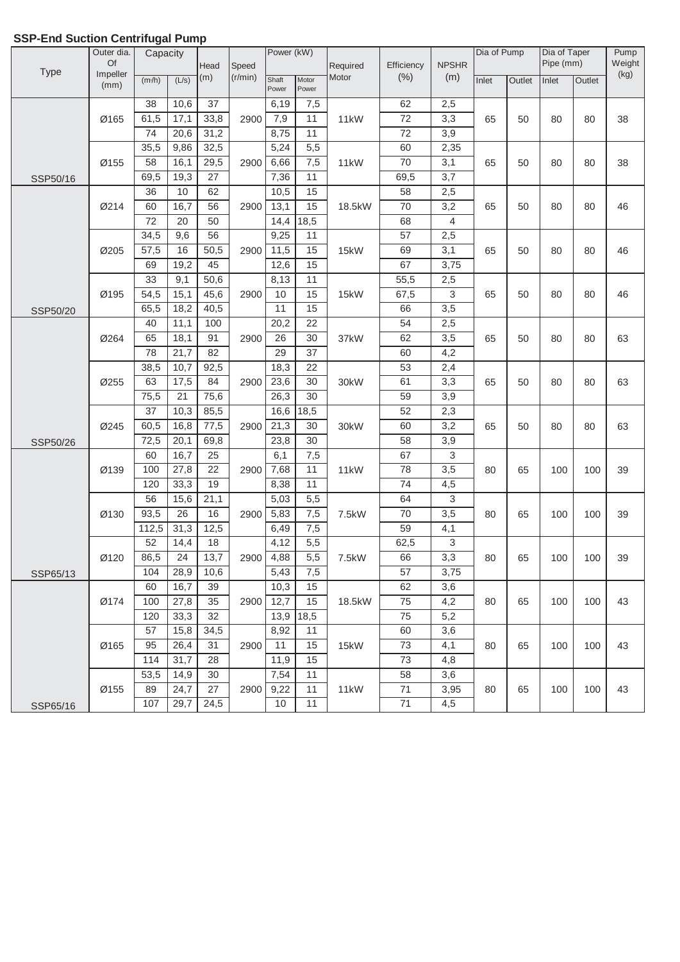|             | Outer dia. | J<br>Capacity |       |                 |             | Power (kW)      |                  |          |            |                  | Dia of Pump |        | Dia of Taper |        | Pump   |
|-------------|------------|---------------|-------|-----------------|-------------|-----------------|------------------|----------|------------|------------------|-------------|--------|--------------|--------|--------|
|             | Of         |               |       | Head            | Speed       |                 |                  | Required | Efficiency | <b>NPSHR</b>     |             |        | Pipe (mm)    |        | Weight |
| <b>Type</b> | Impeller   | (m/h)         | (L/s) | (m)             | (r/min)     | Shaft           | Motor            | Motor    | (% )       | (m)              | Inlet       | Outlet | Inlet        | Outlet | (kg)   |
|             | (mm)       |               |       |                 |             | Power           | Power            |          |            |                  |             |        |              |        |        |
|             |            | 38            | 10,6  | 37              |             | 6,19            | 7,5              |          | 62         | 2,5              |             |        |              |        |        |
|             | Ø165       | 61,5          | 17,1  | 33,8            | 2900        | 7,9             | 11               | 11kW     | 72         | 3,3              | 65          | 50     | 80           | 80     | 38     |
|             |            | 74            | 20,6  | 31,2            |             | 8,75            | 11               |          | 72         | $\overline{3,9}$ |             |        |              |        |        |
|             |            | 35,5          | 9,86  | 32,5            |             | 5,24            | 5,5              |          | 60         | 2,35             |             |        |              |        |        |
|             | Ø155       | 58            | 16,1  | 29,5            | 2900        | 6,66            | 7,5              | 11kW     | 70         | 3,1              | 65          | 50     | 80           | 80     | 38     |
| SSP50/16    |            | 69,5          | 19,3  | $\overline{27}$ |             | 7,36            | 11               |          | 69,5       | 3,7              |             |        |              |        |        |
|             |            | 36            | 10    | 62              |             | 10,5            | 15               |          | 58         | 2,5              |             |        |              |        |        |
|             | Ø214       | 60            | 16,7  | 56              | 2900        | 13,1            | 15               | 18.5kW   | 70         | 3,2              | 65          | 50     | 80           | 80     | 46     |
|             |            | 72            | 20    | 50              |             | 14,4            | 18,5             |          | 68         | 4                |             |        |              |        |        |
|             |            | 34,5          | 9,6   | 56              |             | 9,25            | 11               |          | 57         | 2,5              |             |        |              |        |        |
|             | Ø205       | 57,5          | 16    | 50,5            | 2900        | 11,5            | 15               | 15kW     | 69         | 3,1              | 65          | 50     | 80           | 80     | 46     |
|             |            | 69            | 19,2  | 45              |             | 12,6            | 15               |          | 67         | 3,75             |             |        |              |        |        |
|             |            | 33            | 9,1   | 50,6            |             | 8,13            | 11               |          | 55,5       | 2,5              |             |        |              |        |        |
|             | Ø195       | 54,5          | 15,1  | 45,6            | 2900        | 10              | 15               | 15kW     | 67,5       | 3                | 65          | 50     | 80           | 80     | 46     |
| SSP50/20    |            | 65,5          | 18,2  | 40,5            |             | $\overline{11}$ | 15               |          | 66         | $\overline{3,5}$ |             |        |              |        |        |
|             |            | 40            | 11,1  | 100             |             | 20,2            | 22               |          | 54         | 2,5              |             |        |              |        |        |
|             | Ø264       | 65            | 18,1  | 91              | 2900        | 26              | $\overline{30}$  | 37kW     | 62         | $\overline{3,5}$ | 65          | 50     | 80           | 80     | 63     |
|             |            | 78            | 21,7  | 82              |             | 29              | $\overline{37}$  |          | 60         | 4,2              |             |        |              |        |        |
|             |            | 38,5          | 10,7  | 92,5            |             | 18,3            | 22               |          | 53         | 2,4              |             |        |              |        |        |
|             | Ø255       | 63            | 17,5  | 84              | 2900        | 23,6            | 30               | 30kW     | 61         | 3,3              | 65          | 50     | 80           | 80     | 63     |
|             |            | 75,5          | 21    | 75,6            |             | 26,3            | 30               |          | 59         | 3,9              |             |        |              |        |        |
|             |            | 37            | 10,3  | 85,5            |             | 16,6            | 18,5             |          | 52         | 2,3              |             |        |              |        |        |
|             | Ø245       | 60,5          | 16,8  | 77,5            | 2900        | 21,3            | 30               | 30kW     | 60         | 3,2              | 65          | 50     | 80           | 80     | 63     |
| SSP50/26    |            | 72,5          | 20,1  | 69,8            |             | 23,8            | $\overline{30}$  |          | 58         | 3,9              |             |        |              |        |        |
|             |            | 60            | 16,7  | 25              |             | 6,1             | 7,5              |          | 67         | 3                |             |        |              |        |        |
|             | Ø139       | 100           | 27,8  | $\overline{22}$ | 2900        | 7,68            | 11               | 11kW     | 78         | $\overline{3,5}$ | 80          | 65     | 100          | 100    | 39     |
|             |            | 120           | 33,3  | 19              |             | 8,38            | 11               |          | 74         | 4,5              |             |        |              |        |        |
|             |            | 56            | 15,6  | 21,1            |             | 5,03            | 5,5              |          | 64         | 3                |             |        |              |        |        |
|             | Ø130       | 93,5          | 26    | 16              | 2900        | 5,83            | 7,5              | 7.5kW    | 70         | 3,5              | 80          | 65     | 100          | 100    | 39     |
|             |            | 112,5         | 31,3  | 12,5            |             | 6,49            | 7,5              |          | 59         | 4,1              |             |        |              |        |        |
|             |            | 52            | 14,4  | 18              |             | 4,12            | $\overline{5,5}$ |          | 62,5       | 3                |             |        |              |        |        |
|             | Ø120       | 86,5          | 24    | 13,7            | <b>2900</b> | 4,88            | 5,5              | 7.5kW    | 66         | 3,3              | 80          | 65     | 100          | 100    | 39     |
| SSP65/13    |            | 104           | 28,9  | 10,6            |             | 5,43            | 7,5              |          | 57         | 3,75             |             |        |              |        |        |
|             |            | 60            | 16,7  | 39              |             | 10,3            | 15               |          | 62         | 3,6              |             |        |              |        |        |
|             | Ø174       | 100           | 27,8  | 35              | 2900        | 12,7            | 15               | 18.5kW   | 75         | 4,2              | 80          | 65     | 100          | 100    | 43     |
|             |            | 120           | 33,3  | 32              |             | 13,9            | 18,5             |          | 75         | 5,2              |             |        |              |        |        |
|             |            | 57            | 15,8  | 34,5            |             | 8,92            | 11               |          | 60         | 3,6              |             |        |              |        |        |
|             | Ø165       | 95            | 26,4  | 31              | 2900        | 11              | 15               | 15kW     | 73         | 4,1              | 80          | 65     | 100          | 100    | 43     |
|             |            | 114           | 31,7  | 28              |             | 11,9            | 15               |          | 73         | 4,8              |             |        |              |        |        |
|             |            | 53,5          | 14,9  | 30              |             | 7,54            | 11               |          | 58         | 3,6              |             |        |              |        |        |
|             | Ø155       | 89            | 24,7  | 27              | 2900        | 9,22            | 11               | 11kW     | 71         | 3,95             | 80          | 65     | 100          | 100    | 43     |
| SSP65/16    |            | 107           | 29,7  | 24,5            |             | 10              | 11               |          | 71         | 4,5              |             |        |              |        |        |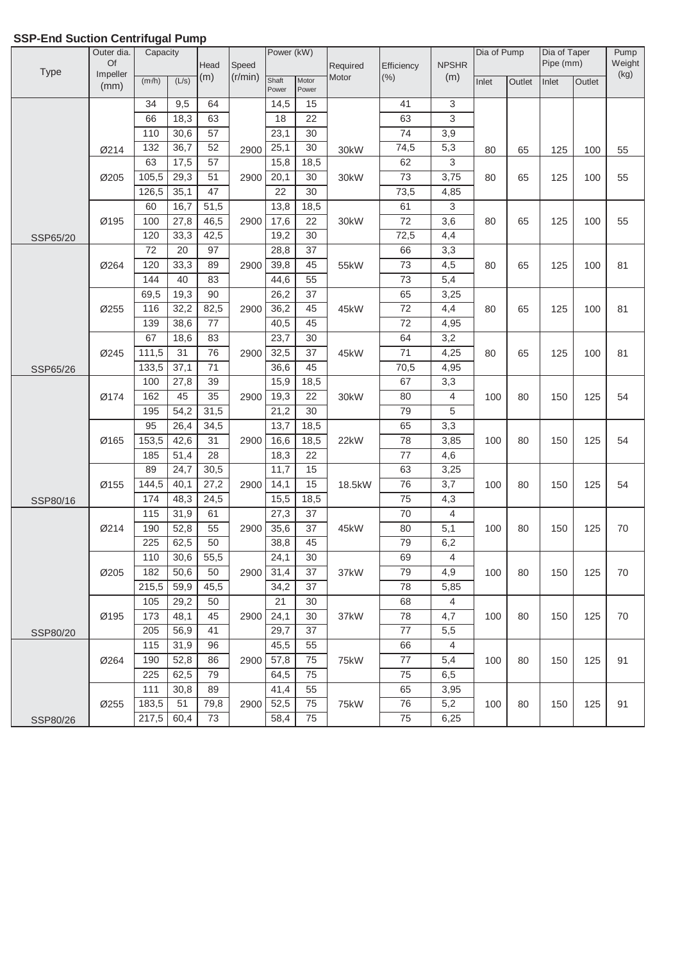|             | Outer dia.       | J<br>Capacity |                 |                 |         | Power (kW)     |                 |          |                 |              | Dia of Pump |        | Dia of Taper |        | Pump   |
|-------------|------------------|---------------|-----------------|-----------------|---------|----------------|-----------------|----------|-----------------|--------------|-------------|--------|--------------|--------|--------|
|             | Of               |               |                 | Head            | Speed   |                |                 | Required | Efficiency      | <b>NPSHR</b> |             |        | Pipe (mm)    |        | Weight |
| <b>Type</b> | Impeller<br>(mm) | (m/h)         | (L/s)           | (m)             | (r/min) | Shaft<br>Power | Motor<br>Power  | Motor    | (% )            | (m)          | Inlet       | Outlet | Inlet        | Outlet | (kg)   |
|             |                  | 34            | 9,5             | 64              |         | 14,5           | 15              |          | 41              | 3            |             |        |              |        |        |
|             |                  | 66            | 18,3            | 63              |         | 18             | 22              |          | 63              | 3            |             |        |              |        |        |
|             |                  | 110           | 30,6            | 57              |         | 23,1           | 30              |          | $\overline{74}$ | 3,9          |             |        |              |        |        |
|             | Ø214             | 132           | 36,7            | 52              | 2900    | 25,1           | 30              | 30kW     | 74,5            | 5,3          | 80          | 65     | 125          | 100    | 55     |
|             |                  | 63            | 17,5            | $\overline{57}$ |         | 15,8           | 18,5            |          | 62              | 3            |             |        |              |        |        |
|             | Ø205             | 105,5         | 29,3            | $\overline{51}$ | 2900    | 20,1           | 30              | 30kW     | $\overline{73}$ | 3,75         | 80          | 65     | 125          | 100    | 55     |
|             |                  | 126,5         | 35,1            | 47              |         | 22             | 30              |          | 73,5            | 4,85         |             |        |              |        |        |
|             |                  | 60            | 16,7            | 51,5            |         | 13,8           | 18,5            |          | 61              | 3            |             |        |              |        |        |
|             | Ø195             | 100           | 27,8            | 46,5            | 2900    | 17,6           | 22              | 30kW     | 72              | 3,6          | 80          | 65     | 125          | 100    | 55     |
| SSP65/20    |                  | 120           | 33,3            | 42,5            |         | 19,2           | 30              |          | 72,5            | 4,4          |             |        |              |        |        |
|             |                  | 72            | $\overline{20}$ | 97              |         | 28,8           | 37              |          | 66              | 3,3          |             |        |              |        |        |
|             | Ø264             | 120           | 33,3            | 89              | 2900    | 39,8           | 45              | 55kW     | $\overline{73}$ | 4,5          | 80          | 65     | 125          | 100    | 81     |
|             |                  | 144           | 40              | 83              |         | 44,6           | 55              |          | $\overline{73}$ | 5,4          |             |        |              |        |        |
|             |                  | 69,5          | 19,3            | 90              |         | 26,2           | 37              |          | 65              | 3,25         |             |        |              |        |        |
|             | Ø255             | 116           | 32,2            | 82,5            | 2900    | 36,2           | 45              | 45kW     | 72              | 4,4          | 80          | 65     | 125          | 100    | 81     |
|             |                  | 139           | 38,6            | 77              |         | 40,5           | 45              |          | 72              | 4,95         |             |        |              |        |        |
|             |                  | 67            | 18,6            | 83              |         | 23,7           | 30              |          | 64              | 3,2          |             |        |              |        |        |
|             | Ø245             | 111,5         | 31              | $\overline{76}$ | 2900    | 32,5           | 37              | 45kW     | 71              | 4,25         | 80          | 65     | 125          | 100    | 81     |
| SSP65/26    |                  | 133,5         | 37,1            | $\overline{71}$ |         | 36,6           | 45              |          | 70,5            | 4,95         |             |        |              |        |        |
|             |                  | 100           | 27,8            | 39              |         | 15,9           | 18,5            |          | 67              | 3,3          |             |        |              |        |        |
|             | Ø174             | 162           | 45              | 35              | 2900    | 19,3           | 22              | 30kW     | 80              | 4            | 100         | 80     | 150          | 125    | 54     |
|             |                  | 195           | 54,2            | 31,5            |         | 21,2           | 30              |          | 79              | 5            |             |        |              |        |        |
|             |                  | 95            | 26,4            | 34,5            |         | 13,7           | 18,5            |          | 65              | 3,3          |             |        |              |        |        |
|             | Ø165             | 153,5         | 42,6            | 31              | 2900    | 16,6           | 18,5            | 22kW     | 78              | 3,85         | 100         | 80     | 150          | 125    | 54     |
|             |                  | 185           | 51,4            | 28              |         | 18,3           | $\overline{22}$ |          | 77              | 4,6          |             |        |              |        |        |
|             |                  | 89            | 24,7            | 30,5            |         | 11,7           | 15              |          | 63              | 3,25         |             |        |              |        |        |
|             | Ø155             | 144,5         | 40,1            | 27,2            | 2900    | 14,1           | 15              | 18.5kW   | 76              | 3,7          | 100         | 80     | 150          | 125    | 54     |
| SSP80/16    |                  | 174           | 48,3            | 24,5            |         | 15,5           | 18,5            |          | 75              | 4,3          |             |        |              |        |        |
|             |                  | 115           | 31,9            | 61              |         | 27,3           | 37              |          | 70              | 4            |             |        |              |        |        |
|             | Ø214             | 190           | 52,8            | 55              | 2900    | 35,6           | 37<br>45        | 45kW     | 80              | 5,1          | 100         | 80     | 150          | 125    | 70     |
|             |                  | 225           | 62,5            | 50              |         | 38,8           |                 |          | 79              | 6,2          |             |        |              |        |        |
|             | Ø205             | 110<br>182    | 30,6<br>50,6    | 55,5<br>50      | 2900    | 24,1<br>31,4   | 30<br>37        | 37kW     | 69<br>79        | 4<br>4,9     |             | 80     | 150          | 125    | 70     |
|             |                  | 215,5         | 59,9            | 45,5            |         | 34,2           | 37              |          | 78              | 5,85         | 100         |        |              |        |        |
|             |                  | 105           | 29,2            | 50              |         | 21             | 30              |          | 68              | 4            |             |        |              |        |        |
|             | Ø195             | 173           | 48,1            | 45              | 2900    | 24,1           | 30              | 37kW     | 78              | 4,7          | 100         | 80     | 150          | 125    | 70     |
|             |                  | 205           | 56,9            | 41              |         | 29,7           | 37              |          | 77              | 5,5          |             |        |              |        |        |
| SSP80/20    |                  | 115           | 31,9            | 96              |         | 45,5           | 55              |          | 66              | 4            |             |        |              |        |        |
|             | Ø264             | 190           | 52,8            | 86              | 2900    | 57,8           | 75              | 75kW     | 77              | 5,4          | 100         | 80     | 150          | 125    | 91     |
|             |                  | 225           | 62,5            | 79              |         | 64,5           | 75              |          | 75              | 6,5          |             |        |              |        |        |
|             |                  | 111           | 30,8            | 89              |         | 41,4           | 55              |          | 65              | 3,95         |             |        |              |        |        |
|             | Ø255             | 183,5         | 51              | 79,8            | 2900    | 52,5           | 75              | 75kW     | 76              | 5,2          | 100         | 80     | 150          | 125    | 91     |
| SSP80/26    |                  | 217,5         | 60,4            | 73              |         | 58,4           | 75              |          | 75              | 6,25         |             |        |              |        |        |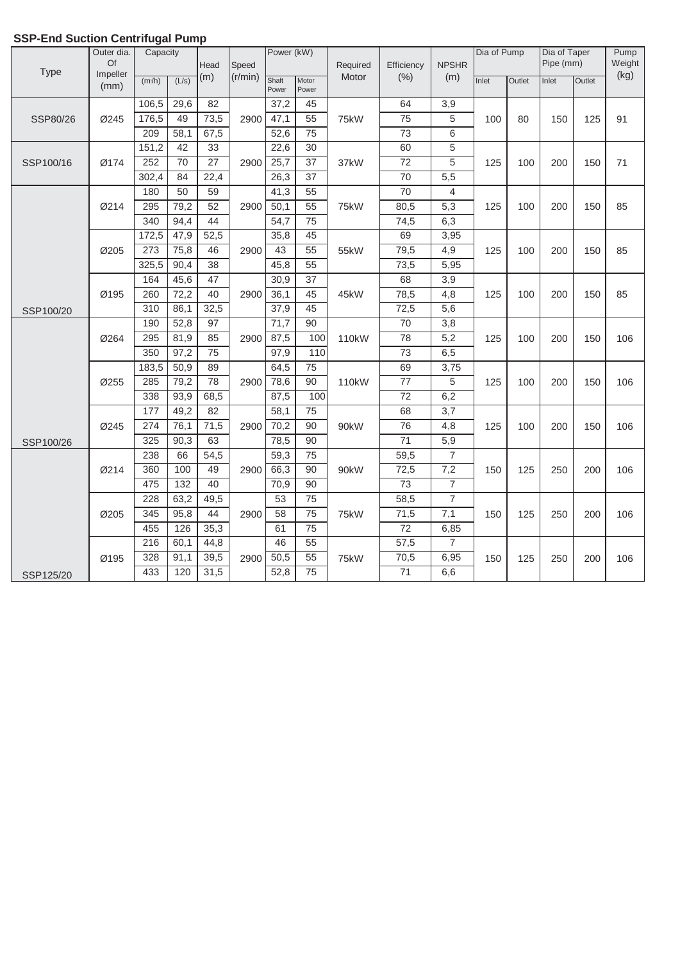|           | Outer dia.     | Capacity | տութ            |                 |         | Power (kW)     |                 |                    |                 |                | Dia of Pump |        | Dia of Taper |        | Pump   |
|-----------|----------------|----------|-----------------|-----------------|---------|----------------|-----------------|--------------------|-----------------|----------------|-------------|--------|--------------|--------|--------|
| Type      | Of<br>Impeller |          |                 | Head            | Speed   |                |                 | Required           | Efficiency      | <b>NPSHR</b>   |             |        | Pipe (mm)    |        | Weight |
|           | (mm)           | (m/h)    | (L/s)           | (m)             | (r/min) | Shaft<br>Power | Motor<br>Power  | Motor              | (% )            | (m)            | Inlet       | Outlet | Inlet        | Outlet | (kg)   |
|           |                | 106,5    | 29,6            | 82              |         | 37,2           | 45              |                    | 64              | 3,9            |             |        |              |        |        |
| SSP80/26  | Ø245           | 176,5    | 49              | 73,5            | 2900    | 47,1           | 55              | 75kW               | 75              | 5              | 100         | 80     | 150          | 125    | 91     |
|           |                | 209      | 58,1            | 67,5            |         | 52,6           | 75              |                    | $\overline{73}$ | 6              |             |        |              |        |        |
|           |                | 151,2    | 42              | 33              |         | 22,6           | 30              |                    | 60              | 5              |             |        |              |        |        |
| SSP100/16 | Ø174           | 252      | $\overline{70}$ | $\overline{27}$ | 2900    | 25,7           | $\overline{37}$ | 37kW               | $\overline{72}$ | 5              | 125         | 100    | 200          | 150    | 71     |
|           |                | 302,4    | 84              | 22,4            |         | 26,3           | 37              |                    | $\overline{70}$ | 5,5            |             |        |              |        |        |
|           |                | 180      | 50              | 59              |         | 41,3           | 55              |                    | 70              | 4              |             |        |              |        |        |
|           | Ø214           | 295      | 79,2            | 52              | 2900    | 50,1           | 55              | 75kW               | 80,5            | 5,3            | 125         | 100    | 200          | 150    | 85     |
|           |                | 340      | 94,4            | 44              |         | 54,7           | $\overline{75}$ |                    | 74,5            | 6,3            |             |        |              |        |        |
|           |                | 172,5    | 47,9            | 52,5            |         | 35,8           | 45              |                    | 69              | 3,95           |             |        |              |        |        |
|           | Ø205           | 273      | 75,8            | 46              | 2900    | 43             | $\overline{55}$ | 55kW               | 79,5            | 4,9            | 125         | 100    | 200          | 150    | 85     |
|           |                | 325,5    | 90,4            | $\overline{38}$ |         | 45,8           | $\overline{55}$ |                    | 73,5            | 5,95           |             |        |              |        |        |
|           |                | 164      | 45,6            | 47              |         | 30,9           | 37              |                    | 68              | 3,9            |             |        |              |        |        |
|           | Ø195           | 260      | 72,2            | 40              | 2900    | 36,1           | 45              | 45kW               | 78,5            | 4,8            | 125         | 100    | 200          | 150    | 85     |
| SSP100/20 |                | 310      | 86,1            | 32,5            |         | 37,9           | 45              |                    | 72,5            | 5,6            |             |        |              |        |        |
|           |                | 190      | 52,8            | 97              |         | 71,7           | 90              |                    | 70              | 3,8            |             |        |              |        |        |
|           | Ø264           | 295      | 81,9            | 85              | 2900    | 87,5           | 100             | 110 <sub>k</sub> W | 78              | 5,2            | 125         | 100    | 200          | 150    | 106    |
|           |                | 350      | 97,2            | $\overline{75}$ |         | 97,9           | 110             |                    | $\overline{73}$ | 6,5            |             |        |              |        |        |
|           |                | 183,5    | 50,9            | 89              |         | 64,5           | $\overline{75}$ |                    | 69              | 3,75           |             |        |              |        |        |
|           | Ø255           | 285      | 79,2            | 78              | 2900    | 78,6           | $\overline{90}$ | 110kW              | $\overline{77}$ | 5              | 125         | 100    | 200          | 150    | 106    |
|           |                | 338      | 93,9            | 68,5            |         | 87,5           | 100             |                    | 72              | 6,2            |             |        |              |        |        |
|           |                | 177      | 49,2            | 82              |         | 58,1           | 75              |                    | 68              | 3,7            |             |        |              |        |        |
|           | Ø245           | 274      | 76,1            | 71,5            | 2900    | 70,2           | 90              | 90kW               | 76              | 4,8            | 125         | 100    | 200          | 150    | 106    |
| SSP100/26 |                | 325      | 90,3            | 63              |         | 78,5           | 90              |                    | $\overline{71}$ | 5,9            |             |        |              |        |        |
|           |                | 238      | 66              | 54,5            |         | 59,3           | $\overline{75}$ |                    | 59,5            | $\overline{7}$ |             |        |              |        |        |
|           | Ø214           | 360      | 100             | 49              | 2900    | 66,3           | 90              | 90 <sub>k</sub> W  | 72,5            | 7,2            | 150         | 125    | 250          | 200    | 106    |
|           |                | 475      | 132             | 40              |         | 70,9           | 90              |                    | 73              | $\overline{7}$ |             |        |              |        |        |
|           |                | 228      | 63,2            | 49,5            |         | 53             | 75              |                    | 58,5            | $\overline{7}$ |             |        |              |        |        |
|           | Ø205           | 345      | 95,8            | 44              | 2900    | 58             | 75              | 75kW               | 71,5            | 7,1            | 150         | 125    | 250          | 200    | 106    |
|           |                | 455      | 126             | 35,3            |         | 61             | $\overline{75}$ |                    | 72              | 6,85           |             |        |              |        |        |
|           |                | 216      | 60,1            | 44,8            |         | 46             | $\overline{55}$ |                    | 57,5            | $\overline{7}$ |             |        |              |        |        |
|           | Ø195           | 328      | 91,1            | 39,5            | 2900    | 50,5           | $\overline{55}$ | 75kW               | 70,5            | 6,95           | 150         | 125    | 250          | 200    | 106    |
| SSP125/20 |                | 433      | 120             | 31,5            |         | 52,8           | 75              |                    | $\overline{71}$ | 6,6            |             |        |              |        |        |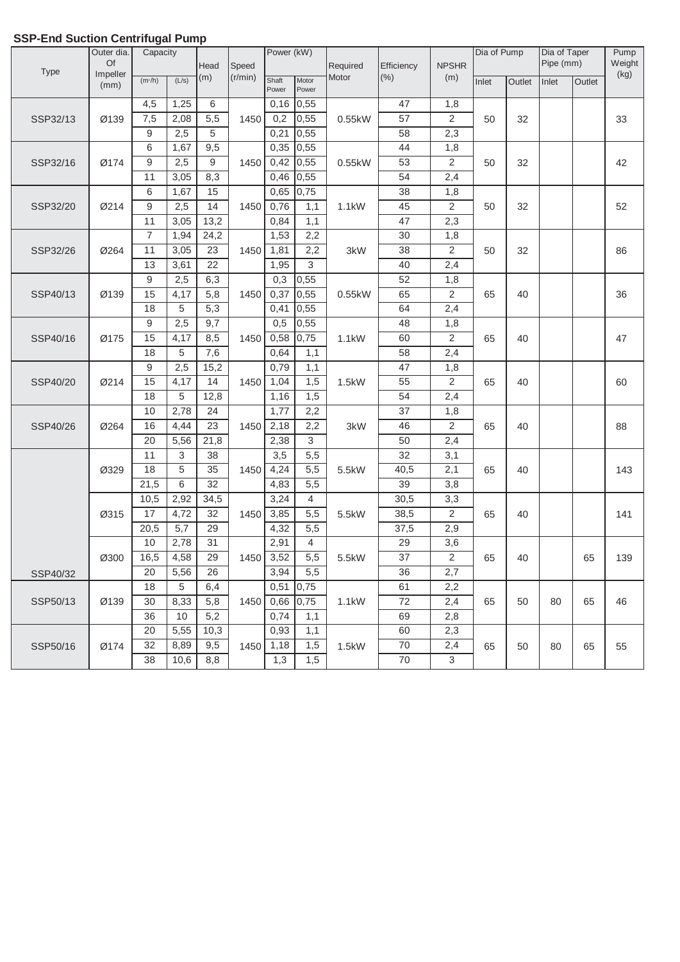|          | Outer dia.     | э<br>Capacity       |       |                 |                  | Power (kW)     |                |                    |                    |                     | Dia of Pump |        | Dia of Taper |        | Pump           |
|----------|----------------|---------------------|-------|-----------------|------------------|----------------|----------------|--------------------|--------------------|---------------------|-------------|--------|--------------|--------|----------------|
| Type     | Of<br>Impeller |                     |       | Head<br>(m)     | Speed<br>(r/min) |                |                | Required<br>Motor  | Efficiency<br>(% ) | <b>NPSHR</b><br>(m) |             |        | Pipe (mm)    |        | Weight<br>(kg) |
|          | (mm)           | (m <sub>3</sub> /h) | (L/s) |                 |                  | Shaft<br>Power | Motor<br>Power |                    |                    |                     | Inlet       | Outlet | Inlet        | Outlet |                |
|          |                | 4,5                 | 1,25  | 6               |                  | 0,16           | 0,55           |                    | 47                 | 1,8                 |             |        |              |        |                |
| SSP32/13 | Ø139           | 7,5                 | 2,08  | 5,5             | 1450             | 0,2            | 0,55           | 0.55kW             | 57                 | $\mathbf{2}$        | 50          | 32     |              |        | 33             |
|          |                | 9                   | 2,5   | 5               |                  | 0,21           | 0,55           |                    | 58                 | 2,3                 |             |        |              |        |                |
|          |                | 6                   | 1,67  | 9,5             |                  | 0,35           | 0,55           |                    | 44                 | 1,8                 |             |        |              |        |                |
| SSP32/16 | Ø174           | 9                   | 2,5   | $\overline{9}$  | 1450             | 0,42           | 0,55           | 0.55kW             | 53                 | $\overline{2}$      | 50          | 32     |              |        | 42             |
|          |                | 11                  | 3,05  | 8,3             |                  | 0,46           | 0,55           |                    | 54                 | 2,4                 |             |        |              |        |                |
|          |                | 6                   | 1,67  | 15              |                  | 0,65           | 0,75           |                    | 38                 | 1,8                 |             |        |              |        |                |
| SSP32/20 | Ø214           | $\boldsymbol{9}$    | 2,5   | 14              | 1450             | 0,76           | 1,1            | 1.1kW              | 45                 | $\overline{2}$      | 50          | 32     |              |        | 52             |
|          |                | 11                  | 3,05  | 13,2            |                  | 0,84           | 1,1            |                    | 47                 | 2,3                 |             |        |              |        |                |
|          |                | $\overline{7}$      | 1,94  | 24,2            |                  | 1,53           | 2,2            |                    | 30                 | 1,8                 |             |        |              |        |                |
| SSP32/26 | Ø264           | 11                  | 3,05  | 23              | 1450             | 1,81           | 2,2            | 3kW                | 38                 | $\overline{2}$      | 50          | 32     |              |        | 86             |
|          |                | 13                  | 3,61  | $\overline{22}$ |                  | 1,95           | 3              |                    | 40                 | 2,4                 |             |        |              |        |                |
|          |                | 9                   | 2,5   | 6,3             |                  | 0,3            | 0,55           |                    | 52                 | 1,8                 |             |        |              |        |                |
| SSP40/13 | Ø139           | 15                  | 4,17  | 5,8             | 1450             | 0,37           | 0,55           | 0.55kW             | 65                 | $\overline{2}$      | 65          | 40     |              |        | 36             |
|          |                | 18                  | 5     | 5,3             |                  | 0,41           | 0,55           |                    | 64                 | 2,4                 |             |        |              |        |                |
|          |                | 9                   | 2,5   | 9,7             |                  | 0,5            | 0,55           |                    | 48                 | 1,8                 |             |        |              |        |                |
| SSP40/16 | Ø175           | 15                  | 4,17  | 8,5             | 1450             | 0,58           | 0,75           | 1.1kW              | 60                 | $\overline{2}$      | 65          | 40     |              |        | 47             |
|          |                | 18                  | 5     | 7,6             |                  | 0,64           | 1,1            |                    | 58                 | 2,4                 |             |        |              |        |                |
|          |                | 9                   | 2,5   | 15,2            |                  | 0,79           | 1,1            |                    | 47                 | 1,8                 |             |        |              |        |                |
| SSP40/20 | Ø214           | 15                  | 4,17  | 14              | 1450             | 1,04           | 1,5            | 1.5kW              | 55                 | $\overline{2}$      | 65          | 40     |              |        | 60             |
|          |                | 18                  | 5     | 12,8            |                  | 1,16           | 1,5            |                    | 54                 | 2,4                 |             |        |              |        |                |
|          |                | 10                  | 2,78  | 24              |                  | 1,77           | 2,2            |                    | 37                 | 1,8                 |             |        |              |        |                |
| SSP40/26 | Ø264           | 16                  | 4,44  | 23              | 1450             | 2,18           | 2,2            | 3kW                | 46                 | $\overline{2}$      | 65          | 40     |              |        | 88             |
|          |                | 20                  | 5,56  | 21,8            |                  | 2,38           | $\overline{3}$ |                    | 50                 | 2,4                 |             |        |              |        |                |
|          |                | 11                  | 3     | 38              |                  | 3,5            | 5,5            |                    | 32                 | 3,1                 |             |        |              |        |                |
|          | Ø329           | $\overline{18}$     | 5     | $\overline{35}$ | 1450             | 4,24           | 5,5            | 5.5kW              | 40,5               | 2,1                 | 65          | 40     |              |        | 143            |
|          |                | 21,5                | 6     | 32              |                  | 4,83           | 5,5            |                    | 39                 | 3,8                 |             |        |              |        |                |
|          |                | 10,5                | 2,92  | 34,5            |                  | 3,24           | $\overline{4}$ |                    | 30,5               | 3,3                 |             |        |              |        |                |
|          | Ø315           | 17                  | 4,72  | 32              | 1450             | 3,85           | 5,5            | 5.5kW              | 38,5               | $\overline{2}$      | 65          | 40     |              |        | 141            |
|          |                | 20,5                | 5,7   | 29              |                  | 4,32           | 5,5            |                    | 37,5               | 2,9                 |             |        |              |        |                |
|          |                | $10$                | 2,78  | 31              |                  | 2,91           | $\overline{4}$ |                    | 29                 | 3,6                 |             |        |              |        |                |
|          | Ø300           | 16,5                | 4,58  | 29              | 1450             | 3,52           | 5,5            | 5.5kW              | 37                 | 2                   | 65          | 40     |              | 65     | 139            |
| SSP40/32 |                | 20                  | 5,56  | 26              |                  | 3,94           | 5,5            |                    | 36                 | 2,7                 |             |        |              |        |                |
|          |                | 18                  | 5     | 6,4             |                  | 0,51           | 0,75           |                    | 61                 | 2,2                 |             |        |              |        |                |
| SSP50/13 | Ø139           | 30                  | 8,33  | 5,8             | 1450             | 0,66           | 0,75           | 1.1 <sub>k</sub> W | 72                 | 2,4                 | 65          | 50     | 80           | 65     | 46             |
|          |                | 36                  | 10    | 5,2             |                  | 0,74           | 1,1            |                    | 69                 | 2,8                 |             |        |              |        |                |
|          |                | 20                  | 5,55  | 10,3            |                  | 0,93           | 1,1            |                    | 60                 | 2,3                 |             |        |              |        |                |
| SSP50/16 | Ø174           | 32                  | 8,89  | 9,5             | 1450             | 1,18           | 1,5            | 1.5kW              | $70\,$             | 2,4                 | 65          | 50     | 80           | 65     | 55             |
|          |                | 38                  | 10,6  | 8,8             |                  | 1,3            | 1,5            |                    | 70                 | 3                   |             |        |              |        |                |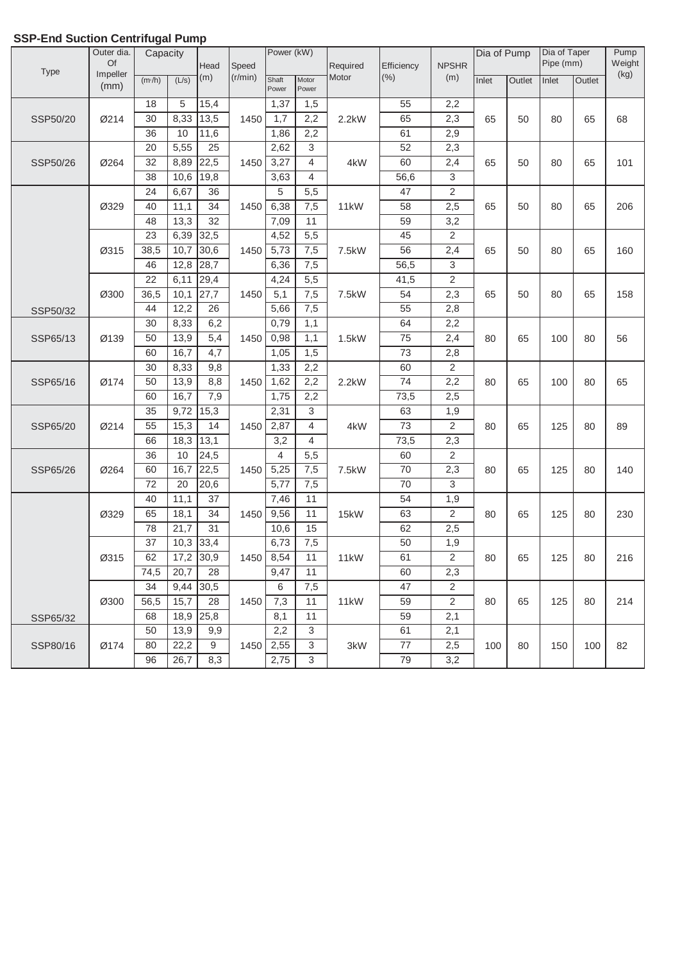|             | Outer dia.     | Capacity        |                   |      |         | Power (kW)     |                |          |                 |                | Dia of Pump |        | Dia of Taper |        | Pump           |
|-------------|----------------|-----------------|-------------------|------|---------|----------------|----------------|----------|-----------------|----------------|-------------|--------|--------------|--------|----------------|
| <b>Type</b> | Of<br>Impeller |                 |                   | Head | Speed   |                |                | Required | Efficiency      | <b>NPSHR</b>   |             |        | Pipe (mm)    |        | Weight<br>(kg) |
|             | (mm)           | (m/h)           | (L/s)             | (m)  | (r/min) | Shaft<br>Power | Motor<br>Power | Motor    | (% )            | (m)            | Inlet       | Outlet | Inlet        | Outlet |                |
|             |                | 18              | 5                 | 15,4 |         | 1,37           | 1,5            |          | 55              | 2,2            |             |        |              |        |                |
| SSP50/20    | Ø214           | 30              | 8,33              | 13,5 | 1450    | 1,7            | 2,2            | 2.2kW    | 65              | 2,3            | 65          | 50     | 80           | 65     | 68             |
|             |                | 36              | 10                | 11,6 |         | 1,86           | 2,2            |          | 61              | 2,9            |             |        |              |        |                |
|             |                | 20              | 5,55              | 25   |         | 2,62           | 3              |          | 52              | 2,3            |             |        |              |        |                |
| SSP50/26    | Ø264           | $\overline{32}$ | 8,89              | 22,5 | 1450    | 3,27           | $\overline{4}$ | 4kW      | 60              | 2,4            | 65          | 50     | 80           | 65     | 101            |
|             |                | $\overline{38}$ | 10,6              | 19,8 |         | 3,63           | 4              |          | 56,6            | 3              |             |        |              |        |                |
|             |                | 24              | 6,67              | 36   |         | 5              | 5,5            |          | 47              | $\overline{2}$ |             |        |              |        |                |
|             | Ø329           | 40              | 11,1              | 34   | 1450    | 6,38           | 7,5            | 11kW     | 58              | 2,5            | 65          | 50     | 80           | 65     | 206            |
|             |                | 48              | $\overline{13,3}$ | 32   |         | 7,09           | 11             |          | 59              | 3,2            |             |        |              |        |                |
|             |                | 23              | 6,39              | 32,5 |         | 4,52           | 5,5            |          | 45              | 2              |             |        |              |        |                |
|             | Ø315           | 38,5            | 10,7              | 30,6 | 1450    | 5,73           | 7,5            | 7.5kW    | $\overline{56}$ | 2,4            | 65          | 50     | 80           | 65     | 160            |
|             |                | 46              | 12,8              | 28,7 |         | 6,36           | 7,5            |          | 56,5            | 3              |             |        |              |        |                |
|             |                | $\overline{22}$ | 6,11              | 29,4 |         | 4,24           | 5,5            |          | 41,5            | $\overline{2}$ |             |        |              |        |                |
|             | Ø300           | 36,5            | 10,1              | 27,7 | 1450    | 5,1            | 7,5            | 7.5kW    | 54              | 2,3            | 65          | 50     | 80           | 65     | 158            |
| SSP50/32    |                | 44              | 12,2              | 26   |         | 5,66           | 7,5            |          | 55              | 2,8            |             |        |              |        |                |
|             |                | 30              | 8,33              | 6,2  |         | 0,79           | 1,1            |          | 64              | 2,2            |             |        |              |        |                |
| SSP65/13    | Ø139           | 50              | 13,9              | 5,4  | 1450    | 0,98           | 1,1            | 1.5kW    | $\overline{75}$ | 2,4            | 80          | 65     | 100          | 80     | 56             |
|             |                | 60              | 16,7              | 4,7  |         | 1,05           | 1,5            |          | 73              | 2,8            |             |        |              |        |                |
|             |                | 30              | 8,33              | 9,8  |         | 1,33           | 2,2            |          | 60              | 2              |             |        |              |        |                |
| SSP65/16    | Ø174           | $\overline{50}$ | 13,9              | 8,8  | 1450    | 1,62           | 2,2            | 2.2kW    | $\overline{74}$ | 2,2            | 80          | 65     | 100          | 80     | 65             |
|             |                | 60              | 16,7              | 7,9  |         | 1,75           | 2,2            |          | 73,5            | 2,5            |             |        |              |        |                |
|             |                | 35              | 9,72              | 15,3 |         | 2,31           | $\mathfrak{B}$ |          | 63              | 1,9            |             |        |              |        |                |
| SSP65/20    | Ø214           | 55              | 15,3              | 14   | 1450    | 2,87           | $\overline{4}$ | 4kW      | 73              | $\overline{2}$ | 80          | 65     | 125          | 80     | 89             |
|             |                | 66              | 18,3              | 13,1 |         | 3,2            | $\overline{4}$ |          | 73,5            | 2,3            |             |        |              |        |                |
|             |                | 36              | 10                | 24,5 |         | $\overline{4}$ | 5,5            |          | 60              | 2              |             |        |              |        |                |
| SSP65/26    | Ø264           | 60              | 16,7              | 22,5 | 1450    | 5,25           | 7,5            | 7.5kW    | 70              | 2,3            | 80          | 65     | 125          | 80     | 140            |
|             |                | 72              | 20                | 20,6 |         | 5,77           | 7,5            |          | 70              | 3              |             |        |              |        |                |
|             |                | 40              | 11,1              | 37   |         | 7,46           | 11             |          | 54              | 1,9            |             |        |              |        |                |
|             | Ø329           | 65              | 18,1              | 34   | 1450    | 9,56           | 11             | 15kW     | 63              | $\overline{2}$ | 80          | 65     | 125          | 80     | 230            |
|             |                | 78              | 21,7              | 31   |         | 10,6           | 15             |          | 62              | 2,5            |             |        |              |        |                |
|             |                | 37              | 10,3 33,4         |      |         | 6,73           | 7,5            |          | 50              | 1,9            |             |        |              |        |                |
|             | Ø315           | 62              | 17,2 30,9         |      |         | 1450 8,54      | 11             | 11kW     | 61              | $\overline{c}$ | 80          | 65     | 125          | 80     | 216            |
|             |                | 74,5            | 20,7              | 28   |         | 9,47           | 11             |          | 60              | 2,3            |             |        |              |        |                |
|             |                | 34              | 9,44              | 30,5 |         | 6              | 7,5            |          | 47              | 2              |             |        |              |        |                |
|             | Ø300           | 56,5            | 15,7              | 28   | 1450    | 7,3            | 11             | 11kW     | 59              | $\overline{2}$ | 80          | 65     | 125          | 80     | 214            |
| SSP65/32    |                | 68              | 18,9              | 25,8 |         | 8,1            | 11             |          | 59              | 2,1            |             |        |              |        |                |
|             |                | 50              | 13,9              | 9,9  |         | 2,2            | 3              |          | 61              | 2,1            |             |        |              |        |                |
| SSP80/16    | Ø174           | 80              | 22,2              | 9    | 1450    | 2,55           | 3              | 3kW      | 77              | 2,5            | 100         | 80     | 150          | 100    | 82             |
|             |                | 96              | 26,7              | 8,3  |         | 2,75           | 3              |          | 79              | 3,2            |             |        |              |        |                |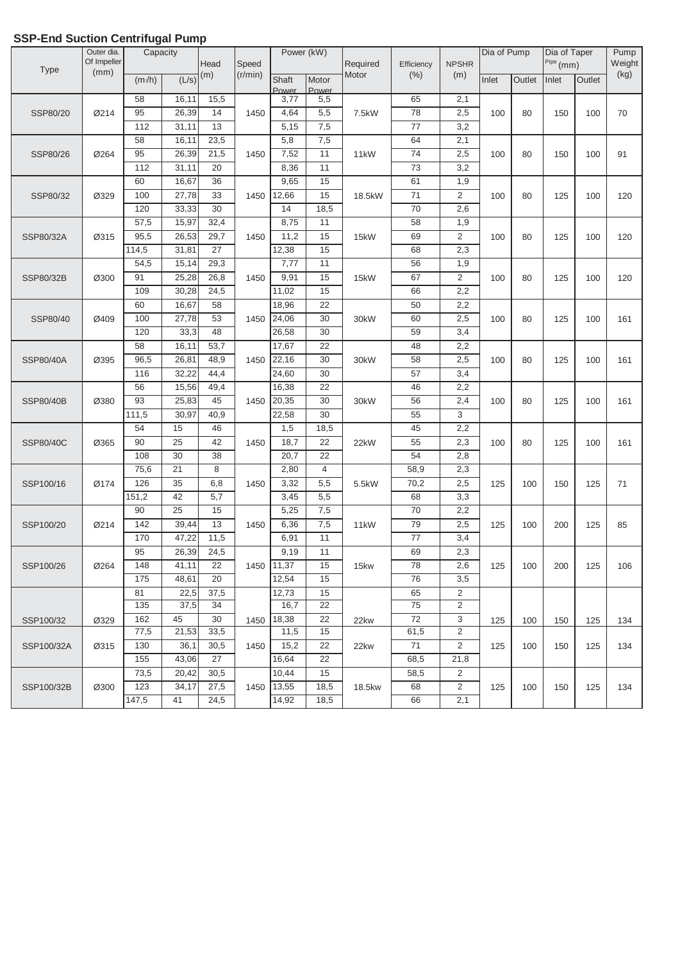| Type       | Outer dia.<br>Of Impeller | ະ<br>Capacity |            | Head             | Speed   | Power (kW)    |                | Required          | Efficiency      | <b>NPSHR</b>   | Dia of Pump |        | Dia of Taper<br>$Pipe$ (mm) |        | Pump<br>Weight |
|------------|---------------------------|---------------|------------|------------------|---------|---------------|----------------|-------------------|-----------------|----------------|-------------|--------|-----------------------------|--------|----------------|
|            | (mm)                      | (m/h)         | (L/s)      | (m)              | (r/min) | Shaft         | Motor          | Motor             | (% )            | (m)            | Inlet       | Outlet | Inlet                       | Outlet | (kg)           |
|            |                           | 58            | 16,11      | 15,5             |         | Power<br>3,77 | Power<br>5,5   |                   | 65              | 2,1            |             |        |                             |        |                |
| SSP80/20   | Ø214                      | 95            | 26,39      | 14               | 1450    | 4,64          | 5,5            | 7.5kW             | 78              | 2,5            | 100         | 80     | 150                         | 100    | 70             |
|            |                           | 112           | 31,11      | 13               |         | 5,15          | 7,5            |                   | 77              | 3,2            |             |        |                             |        |                |
|            |                           | 58            | 16,11      | 23,5             |         | 5,8           | 7,5            |                   | 64              | 2,1            |             |        |                             |        |                |
| SSP80/26   | Ø264                      | 95            | 26,39      | 21,5             | 1450    | 7,52          | 11             | 11 <sub>k</sub> W | $\overline{74}$ | 2,5            | 100         | 80     | 150                         | 100    | 91             |
|            |                           | 112           | 31,11      | 20               |         | 8,36          | 11             |                   | $\overline{73}$ | 3,2            |             |        |                             |        |                |
|            |                           | 60            | 16,67      | 36               |         | 9,65          | 15             |                   | 61              | 1,9            |             |        |                             |        |                |
| SSP80/32   | Ø329                      | 100           | 27,78      | 33               | 1450    | 12,66         | 15             | 18.5kW            | $\overline{71}$ | $\overline{2}$ | 100         | 80     | 125                         | 100    | 120            |
|            |                           | 120           | 33,33      | 30               |         | 14            | 18,5           |                   | 70              | 2,6            |             |        |                             |        |                |
|            |                           | 57,5          | 15,97      | 32,4             |         | 8,75          | 11             |                   | 58              | 1,9            |             |        |                             |        |                |
| SSP80/32A  | Ø315                      | 95,5          | 26,53      | 29,7             | 1450    | 11,2          | 15             | 15kW              | 69              | $\overline{2}$ | 100         | 80     | 125                         | 100    | 120            |
|            |                           | 114,5         | 31,81      | 27               |         | 12,38         | 15             |                   | 68              | 2,3            |             |        |                             |        |                |
|            |                           | 54,5          | 15,14      | 29,3             |         | 7,77          | 11             |                   | 56              | 1,9            |             |        |                             |        |                |
| SSP80/32B  | Ø300                      | 91            | 25,28      | 26,8             | 1450    | 9,91          | 15             | 15kW              | 67              | $\overline{2}$ | 100         | 80     | 125                         | 100    | 120            |
|            |                           | 109           | 30,28      | 24,5             |         | 11,02         | 15             |                   | 66              | 2,2            |             |        |                             |        |                |
|            |                           | 60            | 16,67      | 58               |         | 18,96         | 22             |                   | 50              | 2,2            |             |        |                             |        |                |
| SSP80/40   | Ø409                      | 100           | 27,78      | 53               | 1450    | 24,06         | 30             | 30kW              | 60              | 2,5            | 100         | 80     | 125                         | 100    | 161            |
|            |                           | 120           | 33,3       | 48               |         | 26,58         | 30             |                   | 59              | 3,4            |             |        |                             |        |                |
|            |                           | 58            | 16,11      | 53,7             |         | 17,67         | 22             |                   | 48              | 2,2            |             |        |                             |        |                |
| SSP80/40A  | Ø395                      | 96,5          | 26,81      | 48,9             | 1450    | 22,16         | 30             | 30kW              | 58              | 2,5            | 100         | 80     | 125                         | 100    | 161            |
|            |                           | 116           | 32,22      | 44,4             |         | 24,60         | 30             |                   | 57              | 3,4            |             |        |                             |        |                |
|            |                           | 56            | 15,56      | 49,4             |         | 16,38         | 22             |                   | 46              | 2,2            |             |        |                             |        |                |
| SSP80/40B  | Ø380                      | 93            | 25,83      | 45               | 1450    | 20,35         | 30             | 30kW              | 56              | 2,4            | 100         | 80     | 125                         | 100    | 161            |
|            |                           | 111,5         | 30,97      | 40,9             |         | 22,58         | 30             |                   | 55              | 3              |             |        |                             |        |                |
|            |                           | 54            | 15         | 46               |         | 1,5           | 18,5           |                   | 45              | 2,2            |             |        |                             |        |                |
| SSP80/40C  | Ø365                      | 90            | 25         | 42               | 1450    | 18,7          | 22             | 22kW              | 55              | 2,3            | 100         | 80     | 125                         | 100    | 161            |
|            |                           | 108           | 30         | 38               |         | 20,7          | 22             |                   | 54              | 2,8            |             |        |                             |        |                |
|            |                           | 75,6          | 21         | 8                |         | 2,80          | $\overline{4}$ |                   | 58,9            | 2,3            |             |        |                             |        |                |
| SSP100/16  | Ø174                      | 126           | 35         | 6,8              | 1450    | 3,32          | 5,5            | 5.5kW             | 70,2            | 2,5            | 125         | 100    | 150                         | 125    | 71             |
|            |                           | 151,2         | 42         | $\overline{5,7}$ |         | 3,45          | 5,5            |                   | 68              | 3,3            |             |        |                             |        |                |
|            |                           | 90            | 25         | 15               |         | 5,25          | 7,5            |                   | 70              | 2,2            |             |        |                             |        |                |
| SSP100/20  | Ø214                      | 142           | 39,44      | 13               | 1450    | 6,36          | 7,5            | 11 <sub>k</sub> W | 79              | 2,5            | 125         | 100    | 200                         | 125    | 85             |
|            |                           | 170           | 47,22      | 11,5             |         | 6,91          | 11             |                   | 77              | 3,4            |             |        |                             |        |                |
|            |                           | 95            | 26,39      | 24,5             |         | 9,19          | 11             |                   | 69              | 2,3            |             |        |                             |        |                |
| SSP100/26  | Ø264                      | 148           | 41,11      | 22               | 1450    | 11,37         | 15             | 15kw              | 78              | 2,6            | 125         | 100    | 200                         | 125    | 106            |
|            |                           | 175           | 48,61      | 20               |         | 12,54         | 15             |                   | 76              | 3,5            |             |        |                             |        |                |
|            |                           | 81            | 22,5       | 37,5             |         | 12,73         | 15<br>22       |                   | 65              | 2<br>2         |             |        |                             |        |                |
|            |                           | 135<br>162    | 37,5<br>45 | 34<br>30         |         | 16,7          | 22             |                   | 75<br>72        | 3              |             |        |                             |        |                |
| SSP100/32  | Ø329                      | 77,5          | 21,53      | 33,5             | 1450    | 18,38<br>11,5 | 15             | 22kw              | 61,5            | 2              | 125         | 100    | 150                         | 125    | 134            |
| SSP100/32A | Ø315                      | 130           | 36,1       | 30,5             | 1450    | 15,2          | 22             | 22kw              | 71              | 2              | 125         | 100    | 150                         | 125    | 134            |
|            |                           | 155           | 43,06      | 27               |         | 16,64         | 22             |                   | 68,5            | 21,8           |             |        |                             |        |                |
|            |                           | 73,5          | 20,42      | 30,5             |         | 10,44         | 15             |                   | 58,5            | 2              |             |        |                             |        |                |
| SSP100/32B | Ø300                      | 123           | 34,17      | 27,5             | 1450    | 13,55         | 18,5           | 18.5kw            | 68              | $\overline{2}$ | 125         | 100    | 150                         | 125    | 134            |
|            |                           | 147,5         | 41         | 24,5             |         | 14,92         | 18,5           |                   | 66              | 2,1            |             |        |                             |        |                |
|            |                           |               |            |                  |         |               |                |                   |                 |                |             |        |                             |        |                |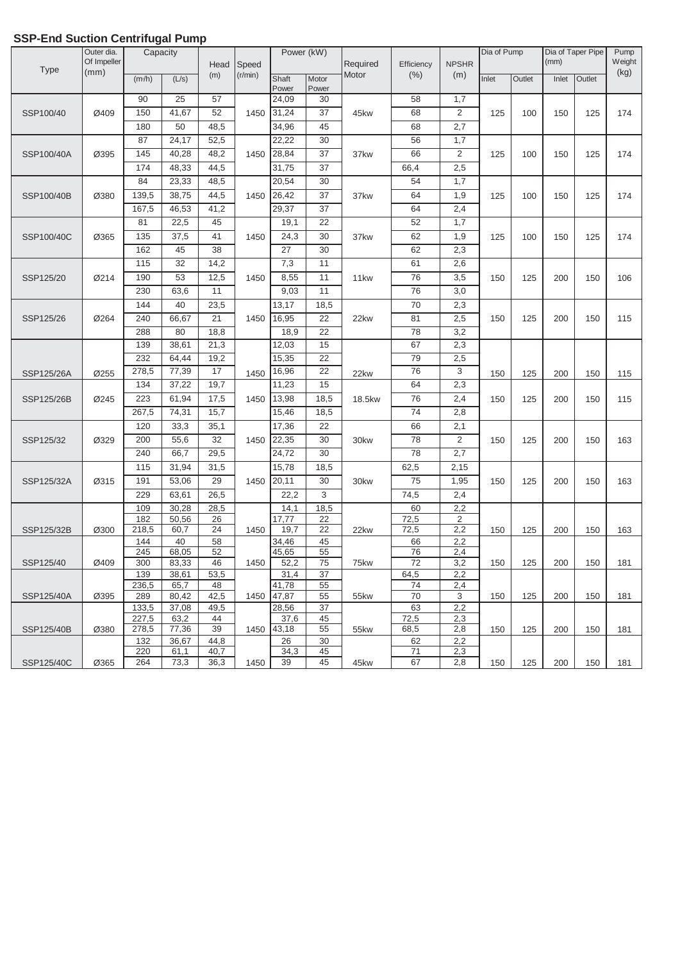| <b>Type</b> | Outer dia.<br>Of Impeller | Capacity       | ---- - - <b>-</b> - | Head            | Speed   |                | Power (kW)      | Required | Efficiency | <b>NPSHR</b>   | Dia of Pump |        | (mm)  | Dia of Taper Pipe | Pump<br>Weight |
|-------------|---------------------------|----------------|---------------------|-----------------|---------|----------------|-----------------|----------|------------|----------------|-------------|--------|-------|-------------------|----------------|
|             | (mm)                      | (m/h)          | (L/s)               | (m)             | (r/min) | Shaft<br>Power | Motor<br>Power  | Motor    | (% )       | (m)            | Inlet       | Outlet | Inlet | Outlet            | (kg)           |
|             |                           | 90             | 25                  | 57              |         | 24,09          | 30              |          | 58         | 1,7            |             |        |       |                   |                |
| SSP100/40   | Ø409                      | 150            | 41,67               | 52              | 1450    | 31,24          | 37              | 45kw     | 68         | 2              | 125         | 100    | 150   | 125               | 174            |
|             |                           | 180            | 50                  | 48,5            |         | 34,96          | 45              |          | 68         | 2,7            |             |        |       |                   |                |
|             |                           | 87             | 24,17               | 52,5            |         | 22,22          | 30              |          | 56         | 1,7            |             |        |       |                   |                |
| SSP100/40A  | Ø395                      | 145            | 40,28               | 48,2            | 1450    | 28,84          | 37              | 37kw     | 66         | 2              | 125         | 100    | 150   | 125               | 174            |
|             |                           | 174            | 48,33               | 44,5            |         | 31,75          | 37              |          | 66,4       | 2,5            |             |        |       |                   |                |
|             |                           | 84             | 23,33               | 48,5            |         | 20,54          | 30              |          | 54         | 1,7            |             |        |       |                   |                |
| SSP100/40B  | Ø380                      | 139,5          | 38,75               | 44,5            | 1450    | 26,42          | 37              | 37kw     | 64         | 1,9            | 125         | 100    | 150   | 125               | 174            |
|             |                           | 167,5          | 46,53               | 41,2            |         | 29,37          | 37              |          | 64         | 2,4            |             |        |       |                   |                |
|             |                           | 81             | 22,5                | 45              |         | 19,1           | 22              |          | 52         | 1,7            |             |        |       |                   |                |
| SSP100/40C  | Ø365                      | 135            | 37,5                | 41              | 1450    | 24,3           | 30              | 37kw     | 62         | 1,9            | 125         | 100    | 150   | 125               | 174            |
|             |                           | 162            | 45                  | 38              |         | 27             | 30              |          | 62         | 2,3            |             |        |       |                   |                |
|             |                           | 115            | 32                  | 14,2            |         | 7,3            | 11              |          | 61         | 2,6            |             |        |       |                   |                |
| SSP125/20   | Ø214                      | 190            | 53                  | 12,5            | 1450    | 8,55           | 11              | 11kw     | 76         | 3,5            | 150         | 125    | 200   | 150               | 106            |
|             |                           | 230            | 63,6                | 11              |         | 9,03           | 11              |          | 76         | 3,0            |             |        |       |                   |                |
|             |                           | 144            | 40                  | 23,5            |         | 13,17          | 18,5            |          | 70         | 2,3            |             |        |       |                   |                |
| SSP125/26   | Ø264                      | 240            | 66,67               | 21              | 1450    | 16,95          | 22              | 22kw     | 81         | 2,5            | 150         | 125    | 200   | 150               | 115            |
|             |                           | 288            | 80                  | 18,8            |         | 18,9           | 22              |          | 78         | 3,2            |             |        |       |                   |                |
|             |                           | 139            | 38,61               | 21,3            |         | 12,03          | 15              |          | 67         | 2,3            |             |        |       |                   |                |
|             |                           | 232            | 64,44               | 19,2            |         | 15,35          | 22              |          | 79         | 2,5            |             |        |       |                   |                |
| SSP125/26A  | Ø255                      | 278,5          | 77,39               | 17              | 1450    | 16,96          | $\overline{22}$ | 22kw     | 76         | $\overline{3}$ | 150         | 125    | 200   | 150               | 115            |
|             |                           | 134            | 37,22               | 19,7            |         | 11,23          | 15              |          | 64         | 2,3            |             |        |       |                   |                |
| SSP125/26B  | Ø245                      | 223            | 61,94               | 17,5            | 1450    | 13,98          | 18,5            | 18.5kw   | 76         | 2,4            | 150         | 125    | 200   | 150               | 115            |
|             |                           | 267,5          | 74,31               | 15,7            |         | 15,46          | 18,5            |          | 74         | 2,8            |             |        |       |                   |                |
|             |                           | 120            | 33,3                | 35,1            |         | 17,36          | $\overline{22}$ |          | 66         | 2,1            |             |        |       |                   |                |
| SSP125/32   | Ø329                      | 200            | 55,6                | $\overline{32}$ | 1450    | 22,35          | 30              | 30kw     | 78         | $\overline{2}$ | 150         | 125    | 200   | 150               | 163            |
|             |                           | 240            | 66,7                | 29,5            |         | 24,72          | 30              |          | 78         | 2,7            |             |        |       |                   |                |
|             |                           | 115            | 31,94               | 31,5            |         | 15,78          | 18,5            |          | 62,5       | 2,15           |             |        |       |                   |                |
| SSP125/32A  | Ø315                      | 191            | 53,06               | 29              | 1450    | 20,11          | 30              | 30kw     | 75         | 1,95           | 150         | 125    | 200   | 150               | 163            |
|             |                           | 229            | 63,61               | 26,5            |         | 22,2           | 3               |          | 74,5       | 2,4            |             |        |       |                   |                |
|             |                           | 109            | 30,28               | 28,5            |         | 14,1           | 18,5            |          | 60         | 2,2            |             |        |       |                   |                |
|             |                           | 182            | 50,56               | 26              |         | 17,77          | 22              |          | 72,5       | $\overline{2}$ |             |        |       |                   |                |
| SSP125/32B  | Ø300                      | 218,5          | 60,7                | 24              | 1450    | 19,7           | 22              | 22kw     | 72,5       | 2,2            | 150         | 125    | 200   | 150               | 163            |
|             |                           | 144<br>245     | 40<br>68,05         | 58<br>52        |         | 34,46<br>45,65 | 45<br>55        |          | 66<br>76   | 2,2<br>2,4     |             |        |       |                   |                |
| SSP125/40   | Ø409                      | 300            | 83,33               | 46              | 1450    | 52,2           | 75              | 75kw     | 72         | 3,2            | 150         | 125    | 200   | 150               | 181            |
|             |                           | 139            | 38,61               | 53,5            |         | 31,4           | 37              |          | 64,5       | 2,2            |             |        |       |                   |                |
|             |                           | 236,5          | 65,7                | 48              |         | 41,78          | 55              |          | 74         | 2,4            |             |        |       |                   |                |
| SSP125/40A  | Ø395                      | 289            | 80,42               | 42,5            | 1450    | 47,87          | 55              | 55kw     | 70         | 3              | 150         | 125    | 200   | 150               | 181            |
|             |                           | 133,5<br>227,5 | 37,08<br>63,2       | 49,5<br>44      |         | 28,56<br>37,6  | 37<br>45        |          | 63<br>72,5 | 2,2<br>2,3     |             |        |       |                   |                |
| SSP125/40B  | Ø380                      | 278,5          | 77,36               | 39              | 1450    | 43,18          | 55              | 55kw     | 68,5       | 2,8            | 150         | 125    | 200   | 150               | 181            |
|             |                           | 132            | 36,67               | 44,8            |         | 26             | 30              |          | 62         | 2,2            |             |        |       |                   |                |
|             |                           | 220            | 61,1                | 40,7            |         | 34,3           | 45              |          | 71         | 2,3            |             |        |       |                   |                |
| SSP125/40C  | Ø365                      | 264            | 73,3                | 36,3            | 1450    | 39             | 45              | 45kw     | 67         | 2,8            | 150         | 125    | 200   | 150               | 181            |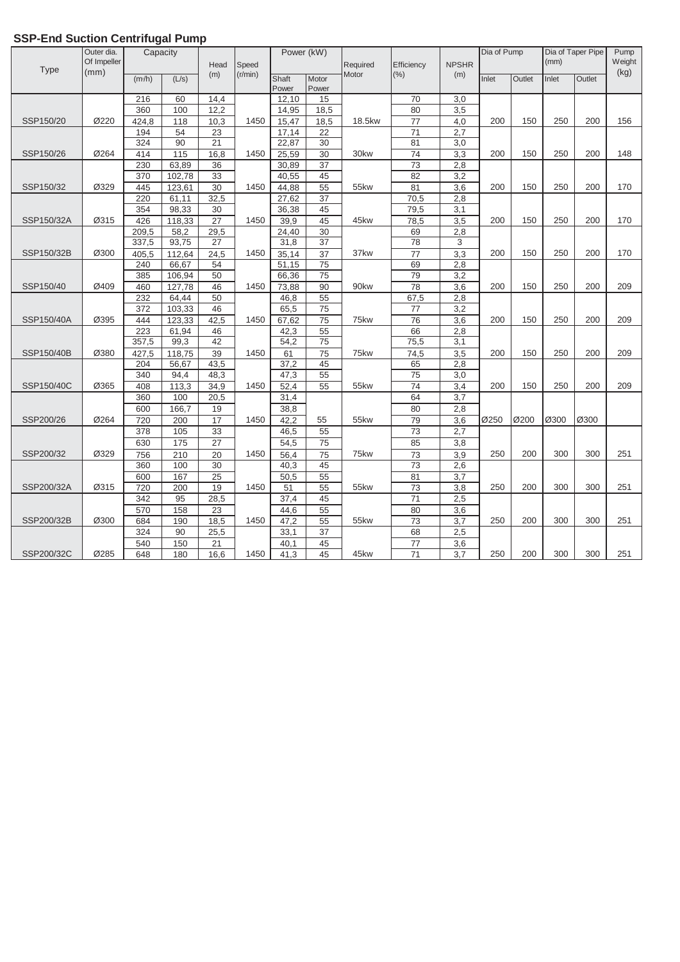| Speed<br><b>Type</b><br>(mm)<br>(% )<br>(r/min)<br>Motor<br>(m)<br>(m)<br>Motor<br>Outlet<br>(m/h)<br>(L/s)<br>Shaft<br>Inlet<br>Inlet<br>Power<br>Power<br>216<br>14,4<br>70<br>$\overline{3,0}$<br>60<br>12,10<br>15<br>360<br>12,2<br>80<br>3,5 | (kg)<br>Outlet<br>200<br>156 |
|----------------------------------------------------------------------------------------------------------------------------------------------------------------------------------------------------------------------------------------------------|------------------------------|
|                                                                                                                                                                                                                                                    |                              |
|                                                                                                                                                                                                                                                    |                              |
|                                                                                                                                                                                                                                                    |                              |
| 100<br>14,95<br>18,5                                                                                                                                                                                                                               |                              |
| SSP150/20<br>Ø220<br>424,8<br>15,47<br>18.5kw<br>$\overline{77}$<br>4,0<br>200<br>250<br>118<br>10,3<br>1450<br>18,5<br>150                                                                                                                        |                              |
| $\overline{71}$<br>194<br>54<br>23<br>17,14<br>2,7<br>22                                                                                                                                                                                           |                              |
| 324<br>90<br>21<br>22,87<br>30<br>81<br>3,0                                                                                                                                                                                                        |                              |
| SSP150/26<br>Ø264<br>115<br>16,8<br>1450<br>30kw<br>$\overline{74}$<br>3,3<br>200<br>414<br>25,59<br>30<br>150<br>250                                                                                                                              | 200<br>148                   |
| $\overline{73}$<br>230<br>63,89<br>36<br>30,89<br>37<br>2,8                                                                                                                                                                                        |                              |
| 33<br>82<br>370<br>102,78<br>40,55<br>45<br>3,2                                                                                                                                                                                                    |                              |
| 30<br>81<br>Ø329<br>445<br>44,88<br>55<br>$\overline{3,6}$<br>200<br>250<br>SSP150/32<br>123,61<br>1450<br>55kw<br>150                                                                                                                             | 200<br>170                   |
| 220<br>32,5<br>27,62<br>70,5<br>61.11<br>37<br>2,8                                                                                                                                                                                                 |                              |
| 79,5<br>354<br>98,33<br>30<br>36,38<br>45<br>3,1                                                                                                                                                                                                   |                              |
| Ø315<br>1450<br>SSP150/32A<br>426<br>118,33<br>27<br>39,9<br>45<br>45kw<br>78,5<br>3,5<br>200<br>150<br>250                                                                                                                                        | 170<br>200                   |
| 29,5<br>$\overline{30}$<br>209,5<br>58,2<br>24,40<br>69<br>2,8                                                                                                                                                                                     |                              |
| 337,5<br>93,75<br>37<br>78<br>27<br>31,8<br>3                                                                                                                                                                                                      |                              |
| $\overline{77}$<br>405,5<br>24,5<br>35,14<br>3,3<br>SSP150/32B<br>Ø300<br>112,64<br>1450<br>37<br>37kw<br>200<br>150<br>250                                                                                                                        | 200<br>170                   |
| 75<br>240<br>66,67<br>54<br>51,15<br>69<br>2,8                                                                                                                                                                                                     |                              |
| 79<br>385<br>106,94<br>50<br>66,36<br>75<br>3,2                                                                                                                                                                                                    |                              |
| SSP150/40<br>Ø409<br>1450<br>90kw<br>78<br>200<br>150<br>250<br>460<br>127.78<br>46<br>73,88<br>90<br>3,6                                                                                                                                          | 200<br>209                   |
| 232<br>64,44<br>50<br>46,8<br>55<br>67,5<br>2,8                                                                                                                                                                                                    |                              |
| 103,33<br>46<br>65,5<br>75<br>3,2<br>372<br>77                                                                                                                                                                                                     |                              |
| SSP150/40A<br>Ø395<br>1450<br>75kw<br>200<br>150<br>250<br>444<br>123,33<br>42,5<br>67,62<br>75<br>76<br>3,6                                                                                                                                       | 200<br>209                   |
| 66<br>223<br>61,94<br>46<br>42,3<br>55<br>2,8                                                                                                                                                                                                      |                              |
| 357,5<br>42<br>54,2<br>75<br>75,5<br>99,3<br>3,1                                                                                                                                                                                                   |                              |
| 118,75<br>39<br>$\overline{75}$<br>SSP150/40B<br>Ø380<br>427,5<br>1450<br>61<br>75kw<br>74,5<br>3,5<br>200<br>150<br>250                                                                                                                           | 209<br>200                   |
| 37,2<br>2,8<br>204<br>56,67<br>43,5<br>45<br>65                                                                                                                                                                                                    |                              |
| 55<br>$\overline{75}$<br>340<br>48,3<br>47,3<br>3,0<br>94,4                                                                                                                                                                                        |                              |
| Ø365<br>SSP150/40C<br>1450<br>55<br>55kw<br>$\overline{74}$<br>200<br>150<br>250<br>408<br>113,3<br>34,9<br>52,4<br>3,4                                                                                                                            | 209<br>200                   |
| 20,5<br>$\overline{31}, 4$<br>64<br>3,7<br>360<br>100                                                                                                                                                                                              |                              |
| 80<br>2,8<br>600<br>166,7<br>19<br>38,8                                                                                                                                                                                                            |                              |
| 42,2<br>720<br>$\overline{17}$<br>79<br>Ø200<br>SSP200/26<br>Ø264<br>200<br>1450<br>55<br>55kw<br>3,6<br>Ø250<br>Ø300                                                                                                                              | Ø300                         |
| 378<br>33<br>73<br>105<br>46,5<br>55<br>2,7                                                                                                                                                                                                        |                              |
| $\overline{27}$<br>54,5<br>75<br>85<br>630<br>175<br>3,8                                                                                                                                                                                           |                              |
| SSP200/32<br>Ø329<br>$\overline{210}$<br>$\overline{20}$<br>$\overline{75}$<br>75kw<br>$\overline{73}$<br>3,9<br>250<br>200<br>300<br>756<br>1450<br>56,4                                                                                          | 251<br>300                   |
| 100<br>$\overline{73}$<br>360<br>30<br>40,3<br>45<br>2,6                                                                                                                                                                                           |                              |
| 167<br>25<br>50,5<br>55<br>81<br>3,7<br>600                                                                                                                                                                                                        |                              |
| 250<br>SSP200/32A<br>Ø315<br>19<br>1450<br>55kw<br>200<br>300<br>51<br>55<br>73<br>3,8<br>720<br>200                                                                                                                                               | 300<br>251                   |
| $\overline{71}$<br>342<br>28,5<br>2,5<br>95<br>37,4<br>45                                                                                                                                                                                          |                              |
| 570<br>158<br>23<br>44,6<br>55<br>80<br>3,6                                                                                                                                                                                                        |                              |
| 73<br>684<br>190<br>55<br>SSP200/32B<br>Ø300<br>18,5<br>47,2<br>55kw<br>3,7<br>250<br>200<br>300<br>1450                                                                                                                                           | 300<br>251                   |
| 324<br>90<br>25,5<br>33,1<br>$\overline{37}$<br>68<br>2,5                                                                                                                                                                                          |                              |
| 150<br>$\overline{21}$<br>540<br>45<br>77<br>3,6<br>40,1                                                                                                                                                                                           |                              |
| SSP200/32C<br>Ø285<br>1450<br>45<br>45kw<br>$\overline{71}$<br>250<br>200<br>300<br>648<br>180<br>16,6<br>41,3<br>3,7                                                                                                                              | 300<br>251                   |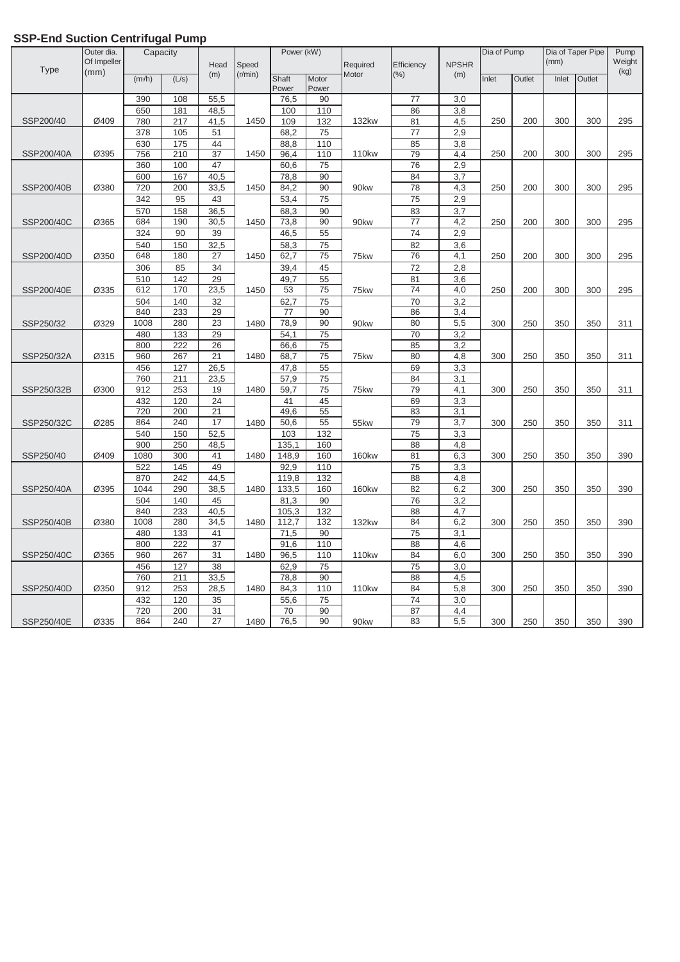|             | Outer dia.<br>Of Impeller | Capacity   |            | Head            | Speed   | Power (kW)     |                 | Required          | Efficiency      | <b>NPSHR</b> | Dia of Pump |        | (mm)  | Dia of Taper Pipe | Pump<br>Weight |
|-------------|---------------------------|------------|------------|-----------------|---------|----------------|-----------------|-------------------|-----------------|--------------|-------------|--------|-------|-------------------|----------------|
| <b>Type</b> | (mm)                      | (m/h)      | (L/s)      | (m)             | (r/min) | Shaft<br>Power | Motor<br>Power  | Motor             | (% )            | (m)          | Inlet       | Outlet | Inlet | Outlet            | (kg)           |
|             |                           | 390        | 108        | 55,5            |         | 76,5           | 90              |                   | 77              | 3,0          |             |        |       |                   |                |
|             |                           | 650        | 181        | 48,5            |         | 100            | 110             |                   | 86              | 3,8          |             |        |       |                   |                |
| SSP200/40   | Ø409                      | 780        | 217        | 41,5            | 1450    | 109            | 132             | <b>132kw</b>      | 81              | 4,5          | 250         | 200    | 300   | 300               | 295            |
|             |                           | 378        | 105        | 51              |         | 68,2           | 75              |                   | 77              | 2,9          |             |        |       |                   |                |
|             |                           | 630        | 175        | 44              |         | 88,8           | 110             |                   | 85              | 3,8          |             |        |       |                   |                |
| SSP200/40A  | Ø395                      | 756        | 210        | 37              | 1450    | 96,4           | 110             | <b>110kw</b>      | 79              | 4,4          | 250         | 200    | 300   | 300               | 295            |
|             |                           | 360        | 100        | 47              |         | 60,6           | 75              |                   | 76              | 2,9          |             |        |       |                   |                |
|             |                           | 600        | 167        | 40,5            |         | 78,8           | 90              |                   | 84              | 3,7          |             |        |       |                   |                |
| SSP200/40B  | Ø380                      | 720        | 200        | 33,5            | 1450    | 84,2           | 90              | 90kw              | 78              | 4,3          | 250         | 200    | 300   | 300               | 295            |
|             |                           | 342        | 95         | 43              |         | 53,4           | 75              |                   | 75              | 2,9          |             |        |       |                   |                |
|             |                           | 570        | 158        | 36,5            |         | 68,3           | 90              |                   | 83              | 3,7          |             |        |       |                   |                |
| SSP200/40C  | Ø365                      | 684        | 190        | 30,5            | 1450    | 73,8           | 90              | 90kw              | 77              | 4,2          | 250         | 200    | 300   | 300               | 295            |
|             |                           | 324        | 90         | 39              |         | 46,5           | 55              |                   | $\overline{74}$ | 2,9          |             |        |       |                   |                |
|             |                           | 540        | 150        | 32,5            |         | 58,3           | 75              |                   | 82              | 3,6          |             |        |       |                   |                |
| SSP200/40D  | Ø350                      | 648        | 180        | 27              | 1450    | 62,7           | 75              | 75kw              | $\overline{76}$ | 4,1          | 250         | 200    | 300   | 300               | 295            |
|             |                           | 306        | 85         | 34              |         | 39,4           | 45              |                   | 72              | 2,8          |             |        |       |                   |                |
|             |                           | 510        | 142        | 29              |         | 49,7           | 55              |                   | 81              | 3,6          |             |        |       |                   |                |
| SSP200/40E  | Ø335                      | 612        | 170        | 23,5            | 1450    | 53             | 75              | 75kw              | 74              | 4,0          | 250         | 200    | 300   | 300               | 295            |
|             |                           | 504        | 140        | 32              |         | 62,7           | 75              |                   | 70              | 3,2          |             |        |       |                   |                |
|             |                           | 840        | 233        | 29              |         | 77             | 90              |                   | 86              | 3,4          |             |        |       |                   |                |
| SSP250/32   | Ø329                      | 1008       | 280        | $\overline{23}$ | 1480    | 78,9           | 90              | 90kw              | 80              | 5,5          | 300         | 250    | 350   | 350               | 311            |
|             |                           | 480        | 133        | 29              |         | 54,1           | $\overline{75}$ |                   | 70              | 3,2          |             |        |       |                   |                |
|             |                           | 800        | 222        | 26              |         | 66,6           | 75              |                   | 85              | 3,2          |             |        |       |                   |                |
| SSP250/32A  | Ø315                      | 960        | 267        | $\overline{21}$ | 1480    | 68,7           | 75              | 75kw              | 80              | 4,8          | 300         | 250    | 350   | 350               | 311            |
|             |                           | 456<br>760 | 127<br>211 | 26,5<br>23,5    |         | 47,8<br>57,9   | 55<br>75        |                   | 69<br>84        | 3,3<br>3,1   |             |        |       |                   |                |
| SSP250/32B  | Ø300                      | 912        | 253        | 19              | 1480    | 59,7           | 75              | 75kw              | 79              | 4,1          | 300         | 250    | 350   | 350               | 311            |
|             |                           | 432        | 120        | 24              |         | 41             | 45              |                   | 69              | 3,3          |             |        |       |                   |                |
|             |                           | 720        | 200        | 21              |         | 49,6           | 55              |                   | 83              | 3,1          |             |        |       |                   |                |
| SSP250/32C  | Ø285                      | 864        | 240        | 17              | 1480    | 50,6           | 55              | 55kw              | 79              | 3,7          | 300         | 250    | 350   | 350               | 311            |
|             |                           | 540        | 150        | 52,5            |         | 103            | 132             |                   | 75              | 3,3          |             |        |       |                   |                |
|             |                           | 900        | 250        | 48,5            |         | 135,1          | 160             |                   | 88              | 4,8          |             |        |       |                   |                |
| SSP250/40   | Ø409                      | 1080       | 300        | 41              | 1480    | 148,9          | 160             | <b>160kw</b>      | 81              | 6,3          | 300         | 250    | 350   | 350               | 390            |
|             |                           | 522        | 145        | 49              |         | 92,9           | 110             |                   | $\overline{75}$ | 3,3          |             |        |       |                   |                |
|             |                           | 870        | 242        | 44,5            |         | 119,8          | 132             |                   | 88              | 4,8          |             |        |       |                   |                |
| SSP250/40A  | Ø395                      | 1044       | 290        | 38,5            | 1480    | 133,5          | 160             | <b>160kw</b>      | 82              | 6,2          | 300         | 250    | 350   | 350               | 390            |
|             |                           | 504        | 140        | 45              |         | 81,3           | 90              |                   | $\overline{76}$ | 3,2          |             |        |       |                   |                |
|             |                           | 840        | 233        | 40,5            |         | 105,3          | 132             |                   | 88              | 4,7          |             |        |       |                   |                |
| SSP250/40B  | Ø380                      | 1008       | 280        | 34,5            | 1480    | 112,7          | 132             | <b>132kw</b>      | 84              | 6,2          | 300         | 250    | 350   | 350               | 390            |
|             |                           | 480        | 133        | 41              |         | 71,5           | 90              |                   | 75              | 3,1          |             |        |       |                   |                |
|             |                           | 800        | 222        | 37              |         | 91,6           | 110             |                   | 88              | 4,6          |             |        |       |                   |                |
| SSP250/40C  | Ø365                      | 960        | 267        | 31              | 1480    | 96,5           | 110             | 110 <sub>kw</sub> | 84              | 6,0          | 300         | 250    | 350   | 350               | 390            |
|             |                           | 456        | 127        | 38              |         | 62,9           | 75              |                   | 75              | 3,0          |             |        |       |                   |                |
|             |                           | 760        | 211        | 33,5            |         | 78,8           | 90              |                   | 88              | 4,5          |             |        |       |                   |                |
| SSP250/40D  | Ø350                      | 912        | 253        | 28,5            | 1480    | 84,3           | 110             | <b>110kw</b>      | 84              | 5,8          | 300         | 250    | 350   | 350               | 390            |
|             |                           | 432        | 120        | 35              |         | 55,6           | 75              |                   | 74              | 3,0          |             |        |       |                   |                |
|             |                           | 720        | 200        | $\overline{31}$ |         | 70             | 90              |                   | $\overline{87}$ | 4,4          |             |        |       |                   |                |
| SSP250/40E  | Ø335                      | 864        | 240        | 27              | 1480    | 76,5           | 90              | 90kw              | 83              | 5,5          | 300         | 250    | 350   | 350               | 390            |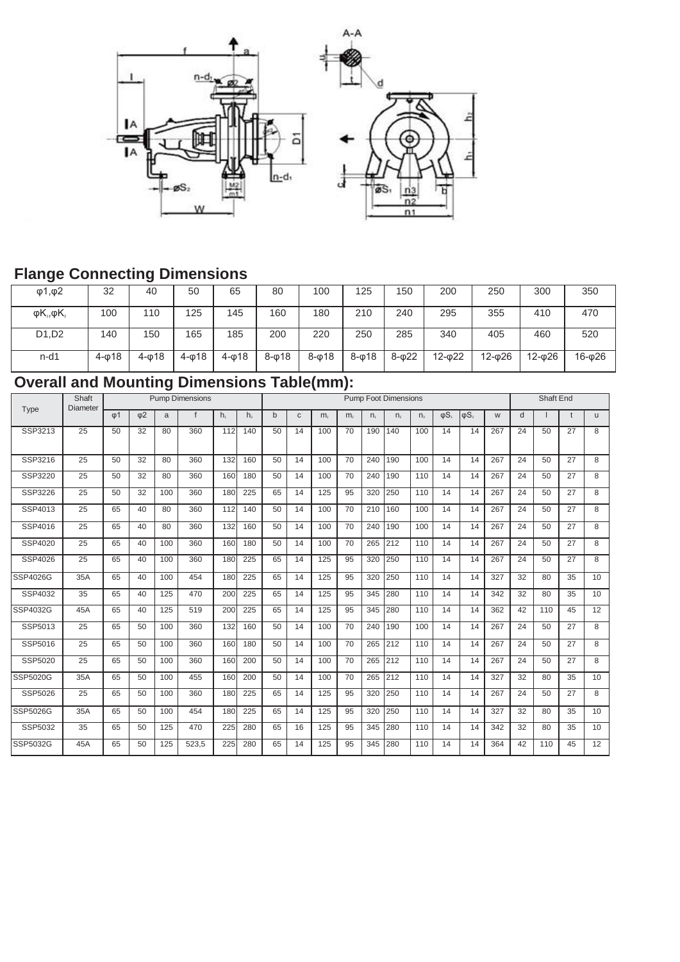

### **Flange Connecting Dimensions**

| $\varphi$ 1, $\varphi$ 2 | 32        | 40        | 50        | 65        | 80        | 100       | 125       | 150       | 200        | 250        | 300    | 350    |
|--------------------------|-----------|-----------|-----------|-----------|-----------|-----------|-----------|-----------|------------|------------|--------|--------|
| $\phi K_1, \phi K_2$     | 100       | 110       | 125       | 145       | 160       | 180       | 210       | 240       | 295        | 355        | 410    | 470    |
| D1,D2                    | 140       | 150       | 165       | 185       | 200       | 220       | 250       | 285       | 340        | 405        | 460    | 520    |
| $n-d1$                   | $4 - 018$ | $4 - 018$ | $4 - 018$ | $4 - 018$ | $8 - 018$ | $8 - 018$ | $8 - 018$ | $8 - 022$ | $12 - 022$ | $12 - 026$ | 12-026 | 16-φ26 |

### **Overall and Mounting Dimensions Table(mm):**

| Type            | Shaft<br>Diameter | <b>Pump Dimensions</b> |                     |     |              |                |                |    | <b>Pump Foot Dimensions</b> |     |                |                |                |             |            |              |     |    |     | <b>Shaft End</b> |          |  |  |
|-----------------|-------------------|------------------------|---------------------|-----|--------------|----------------|----------------|----|-----------------------------|-----|----------------|----------------|----------------|-------------|------------|--------------|-----|----|-----|------------------|----------|--|--|
|                 |                   | $\omega$ 1             | $\Phi$ <sup>2</sup> | a   | $\mathsf{f}$ | h <sub>1</sub> | h <sub>2</sub> | b  | $\mathsf{C}$                | m.  | m <sub>2</sub> | n <sub>1</sub> | n <sub>2</sub> | $n_{\rm a}$ | $\phi S_1$ | $\phi S_{2}$ | W   | d  |     |                  | <b>u</b> |  |  |
| SSP3213         | 25                | 50                     | 32                  | 80  | 360          | 112            | 140            | 50 | 14                          | 100 | 70             | 190            | 140            | 100         | 14         | 14           | 267 | 24 | 50  | 27               | 8        |  |  |
| SSP3216         | 25                | 50                     | 32                  | 80  | 360          | 132            | 160            | 50 | 14                          | 100 | 70             | 240            | 190            | 100         | 14         | 14           | 267 | 24 | 50  | 27               | 8        |  |  |
| SSP3220         | 25                | 50                     | 32                  | 80  | 360          | 160            | 180            | 50 | 14                          | 100 | 70             | 240            | 190            | 110         | 14         | 14           | 267 | 24 | 50  | 27               | 8        |  |  |
| SSP3226         | 25                | 50                     | 32                  | 100 | 360          | 180            | 225            | 65 | 14                          | 125 | 95             | 320            | 250            | 110         | 14         | 14           | 267 | 24 | 50  | 27               | 8        |  |  |
| SSP4013         | 25                | 65                     | 40                  | 80  | 360          | 112            | 140            | 50 | 14                          | 100 | 70             | 210            | 160            | 100         | 14         | 14           | 267 | 24 | 50  | 27               | 8        |  |  |
| SSP4016         | 25                | 65                     | 40                  | 80  | 360          | 132            | 160            | 50 | 14                          | 100 | 70             | 240            | 190            | 100         | 14         | 14           | 267 | 24 | 50  | 27               | 8        |  |  |
| SSP4020         | 25                | 65                     | 40                  | 100 | 360          | 160            | 180            | 50 | 14                          | 100 | 70             | 265            | 212            | 110         | 14         | 14           | 267 | 24 | 50  | 27               | 8        |  |  |
| SSP4026         | $\overline{25}$   | 65                     | 40                  | 100 | 360          | 180            | 225            | 65 | 14                          | 125 | 95             | 320            | 250            | 110         | 14         | 14           | 267 | 24 | 50  | 27               | 8        |  |  |
| SSP4026G        | 35A               | 65                     | 40                  | 100 | 454          | 180            | 225            | 65 | 14                          | 125 | 95             | 320            | 250            | 110         | 14         | 14           | 327 | 32 | 80  | 35               | 10       |  |  |
| SSP4032         | 35                | 65                     | 40                  | 125 | 470          | 200            | 225            | 65 | 14                          | 125 | 95             | 345            | 280            | 110         | 14         | 14           | 342 | 32 | 80  | 35               | 10       |  |  |
| SSP4032G        | 45A               | 65                     | 40                  | 125 | 519          | 200            | 225            | 65 | 14                          | 125 | 95             | 345            | 280            | 110         | 14         | 14           | 362 | 42 | 110 | 45               | 12       |  |  |
| SSP5013         | 25                | 65                     | 50                  | 100 | 360          | 132            | 160            | 50 | 14                          | 100 | 70             | 240            | 190            | 100         | 14         | 14           | 267 | 24 | 50  | 27               | 8        |  |  |
| SSP5016         | 25                | 65                     | 50                  | 100 | 360          | 160            | 180            | 50 | 14                          | 100 | 70             | 265            | 212            | 110         | 14         | 14           | 267 | 24 | 50  | 27               | 8        |  |  |
| SSP5020         | 25                | 65                     | 50                  | 100 | 360          | 160            | 200            | 50 | 14                          | 100 | 70             | 265            | 212            | 110         | 14         | 14           | 267 | 24 | 50  | 27               | 8        |  |  |
| SSP5020G        | 35A               | 65                     | 50                  | 100 | 455          | 160            | 200            | 50 | 14                          | 100 | 70             | 265            | 212            | 110         | 14         | 14           | 327 | 32 | 80  | 35               | 10       |  |  |
| SSP5026         | 25                | 65                     | 50                  | 100 | 360          | 180            | 225            | 65 | 14                          | 125 | 95             | 320            | 250            | 110         | 14         | 14           | 267 | 24 | 50  | 27               | 8        |  |  |
| <b>SSP5026G</b> | 35A               | 65                     | 50                  | 100 | 454          | 180            | 225            | 65 | 14                          | 125 | 95             | 320            | 250            | 110         | 14         | 14           | 327 | 32 | 80  | 35               | 10       |  |  |
| SSP5032         | 35                | 65                     | 50                  | 125 | 470          | 225            | 280            | 65 | 16                          | 125 | 95             | 345            | 280            | 110         | 14         | 14           | 342 | 32 | 80  | 35               | 10       |  |  |
| SSP5032G        | 45A               | 65                     | 50                  | 125 | 523,5        | 225            | 280            | 65 | 14                          | 125 | 95             | 345            | 280            | 110         | 14         | 14           | 364 | 42 | 110 | 45               | 12       |  |  |